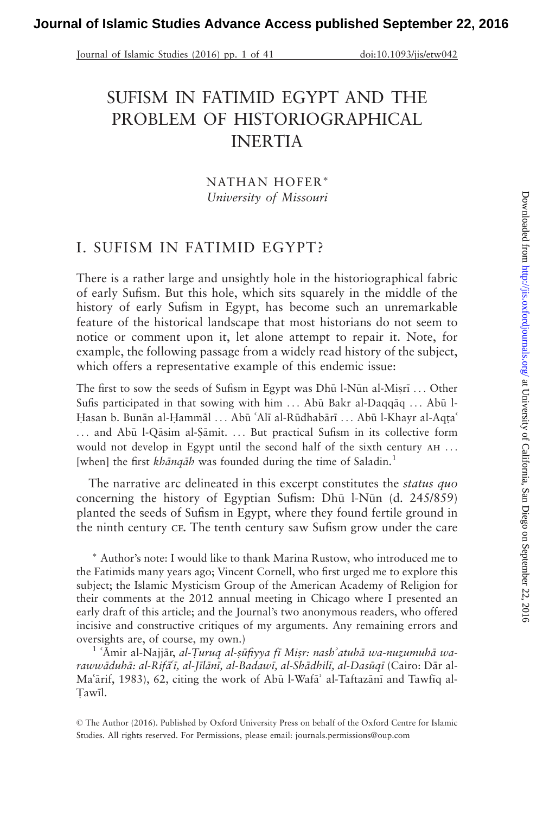Journal of Islamic Studies (2016) pp. 1 of 41 doi:10.1093/jis/etw042

# SUFISM IN FATIMID EGYPT AND THE PROBLEM OF HISTORIOGRAPHICAL INERTIA

NATHAN HOFER\* University of Missouri

# I. SUFISM IN FATIMID EGYPT?

There is a rather large and unsightly hole in the historiographical fabric of early Sufism. But this hole, which sits squarely in the middle of the history of early Sufism in Egypt, has become such an unremarkable feature of the historical landscape that most historians do not seem to notice or comment upon it, let alone attempt to repair it. Note, for example, the following passage from a widely read history of the subject, which offers a representative example of this endemic issue:

The first to sow the seeds of Sufism in Egypt was Dhū l-Nūn al-Miṣrī ... Other Sufis participated in that sowing with him  $\ldots$  Abū Bakr al-Daqq $a \ldots$  Abū l-Hasan b. Bunān al-Hammāl ... Abū 'Alī al-Rūdhabārī ... Abū l-Khayr al-Aqta' ... and Abū l-Qāsim al-Şāmit. ... But practical Sufism in its collective form would not develop in Egypt until the second half of the sixth century ah ... [when] the first khānqāh was founded during the time of Saladin.<sup>1</sup>

The narrative arc delineated in this excerpt constitutes the *status quo* concerning the history of Egyptian Sufism: Dhū l-Nūn  $(d. 245/859)$ planted the seeds of Sufism in Egypt, where they found fertile ground in the ninth century ce. The tenth century saw Sufism grow under the care

- Author's note: I would like to thank Marina Rustow, who introduced me to the Fatimids many years ago; Vincent Cornell, who first urged me to explore this subject; the Islamic Mysticism Group of the American Academy of Religion for their comments at the 2012 annual meeting in Chicago where I presented an early draft of this article; and the Journal's two anonymous readers, who offered incisive and constructive critiques of my arguments. Any remaining errors and oversights are, of course, my own.)<br><sup>1</sup> 'Amir al-Najjār, *al-Turuq al-sūfiyya fī Misr: nash' atuhā wa-nuzumuhā wa-*

rawwāduhā: al-Rifā'ī, al-Jīlānī, al-Badawī, al-Shādhilī, al-Dasūqī (Cairo: Dār al-Ma'ārif, 1983), 62, citing the work of Abū l-Wafā' al-Taftazānī and Tawfīq al-Tawil.

© The Author (2016). Published by Oxford University Press on behalf of the Oxford Centre for Islamic Studies. All rights reserved. For Permissions, please email: journals.permissions@oup.com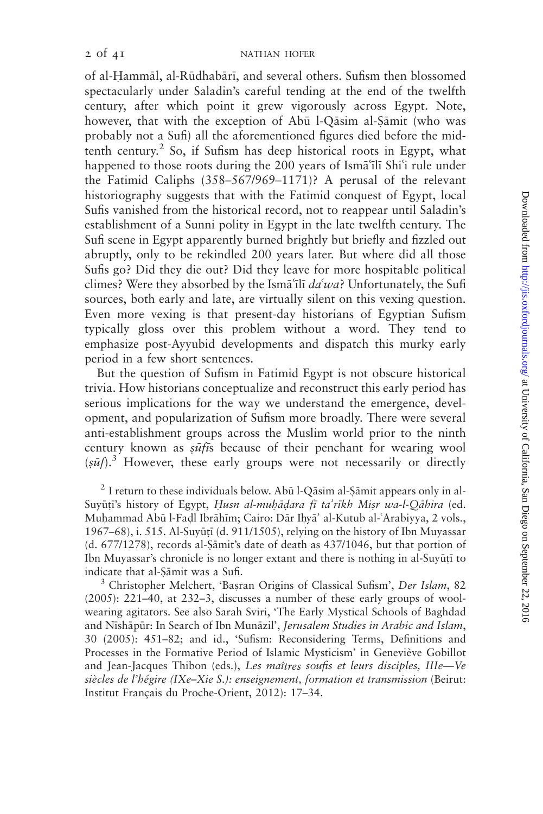of al-Hammāl, al-Rūdhabārī, and several others. Sufism then blossomed spectacularly under Saladin's careful tending at the end of the twelfth century, after which point it grew vigorously across Egypt. Note, however, that with the exception of Abū l-Qāsim al-Sāmit (who was probably not a Sufi) all the aforementioned figures died before the midtenth century.<sup>2</sup> So, if Sufism has deep historical roots in Egypt, what happened to those roots during the 200 years of Isma<sup>'</sup>ili Shi'i rule under the Fatimid Caliphs (358–567/969–1171)? A perusal of the relevant historiography suggests that with the Fatimid conquest of Egypt, local Sufis vanished from the historical record, not to reappear until Saladin's establishment of a Sunni polity in Egypt in the late twelfth century. The Sufi scene in Egypt apparently burned brightly but briefly and fizzled out abruptly, only to be rekindled 200 years later. But where did all those Sufis go? Did they die out? Did they leave for more hospitable political climes? Were they absorbed by the Isma<sup>'</sup>ili  $da'wa$ ? Unfortunately, the Sufi sources, both early and late, are virtually silent on this vexing question. Even more vexing is that present-day historians of Egyptian Sufism typically gloss over this problem without a word. They tend to emphasize post-Ayyubid developments and dispatch this murky early period in a few short sentences.

But the question of Sufism in Fatimid Egypt is not obscure historical trivia. How historians conceptualize and reconstruct this early period has serious implications for the way we understand the emergence, development, and popularization of Sufism more broadly. There were several anti-establishment groups across the Muslim world prior to the ninth century known as  $s\bar{u}f\bar{t}s$  because of their penchant for wearing wool  $(s\bar{u}f).$ <sup>3</sup> However, these early groups were not necessarily or directly

 $2$  I return to these individuals below. Abū l-Q $\bar{a}$ sim al-S $\bar{a}$ mit appears only in al-Suyūțī's history of Egypt, Husn al-muhādara fī ta'rīkh Misr wa-l-Qāhira (ed. Muhammad Abū l-Fadl Ibrāhīm; Cairo: Dār Ihyā' al-Kutub al-ʿArabiyya, 2 vols., 1967–68), i. 515. Al-Suyūțī (d. 911/1505), relying on the history of Ibn Muyassar  $(d. 677/1278)$ , records al- $\frac{5}{4}$  and  $\frac{1}{3}$  date of death as 437/1046, but that portion of Ibn Muyassar's chronicle is no longer extant and there is nothing in al-Suyūtī to indicate that al-Șāmit was a Sufi.<br><sup>3</sup> Christopher Melchert, 'Basran Origins of Classical Sufism', *Der Islam*, 82

(2005): 221–40, at 232–3, discusses a number of these early groups of woolwearing agitators. See also Sarah Sviri, 'The Early Mystical Schools of Baghdad and Nīshāpūr: In Search of Ibn Munāzil', Jerusalem Studies in Arabic and Islam, 30 (2005): 451–82; and id., 'Sufism: Reconsidering Terms, Definitions and Processes in the Formative Period of Islamic Mysticism' in Geneviève Gobillot and Jean-Jacques Thibon (eds.), Les maîtres soufis et leurs disciples, IIIe-Ve siècles de l'hégire (IXe–Xie S.): enseignement, formation et transmission (Beirut: Institut Français du Proche-Orient, 2012): 17-34.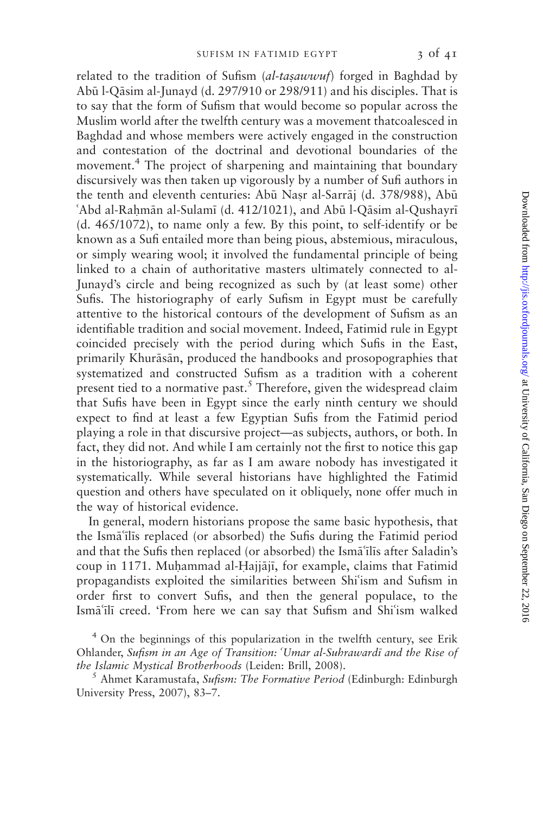related to the tradition of Sufism (al-tasawwuf) forged in Baghdad by Abū l-Qāsim al-Junayd (d. 297/910 or 298/911) and his disciples. That is to say that the form of Sufism that would become so popular across the Muslim world after the twelfth century was a movement thatcoalesced in Baghdad and whose members were actively engaged in the construction and contestation of the doctrinal and devotional boundaries of the movement.<sup>4</sup> The project of sharpening and maintaining that boundary discursively was then taken up vigorously by a number of Sufi authors in the tenth and eleventh centuries: Abū Nasr al-Sarrāj (d. 378/988), Abū 'Abd al-Rahmān al-Sulamī (d. 412/1021), and Abū l-Qāsim al-Qushayrī (d. 465/1072), to name only a few. By this point, to self-identify or be known as a Sufi entailed more than being pious, abstemious, miraculous, or simply wearing wool; it involved the fundamental principle of being linked to a chain of authoritative masters ultimately connected to al-Junayd's circle and being recognized as such by (at least some) other Sufis. The historiography of early Sufism in Egypt must be carefully attentive to the historical contours of the development of Sufism as an identifiable tradition and social movement. Indeed, Fatimid rule in Egypt coincided precisely with the period during which Sufis in the East, primarily Khurāsān, produced the handbooks and prosopographies that systematized and constructed Sufism as a tradition with a coherent present tied to a normative past.<sup>5</sup> Therefore, given the widespread claim that Sufis have been in Egypt since the early ninth century we should expect to find at least a few Egyptian Sufis from the Fatimid period playing a role in that discursive project—as subjects, authors, or both. In fact, they did not. And while I am certainly not the first to notice this gap in the historiography, as far as I am aware nobody has investigated it systematically. While several historians have highlighted the Fatimid question and others have speculated on it obliquely, none offer much in the way of historical evidence.

In general, modern historians propose the same basic hypothesis, that the Isma'ilis replaced (or absorbed) the Sufis during the Fatimid period and that the Sufis then replaced (or absorbed) the Isma<sup>t</sup>ilis after Saladin's coup in 1171. Muhammad al-Hajjājī, for example, claims that Fatimid propagandists exploited the similarities between Shi'ism and Sufism in order first to convert Sufis, and then the general populace, to the Ismatili creed. 'From here we can say that Sufism and Shi'ism walked

<sup>4</sup> On the beginnings of this popularization in the twelfth century, see Erik Ohlander, Sufism in an Age of Transition: 'Umar al-Suhrawardi and the Rise of the Islamic Mystical Brotherhoods (Leiden: Brill, 2008). <sup>5</sup> Ahmet Karamustafa, Sufism: The Formative Period (Edinburgh: Edinburgh

University Press, 2007), 83–7.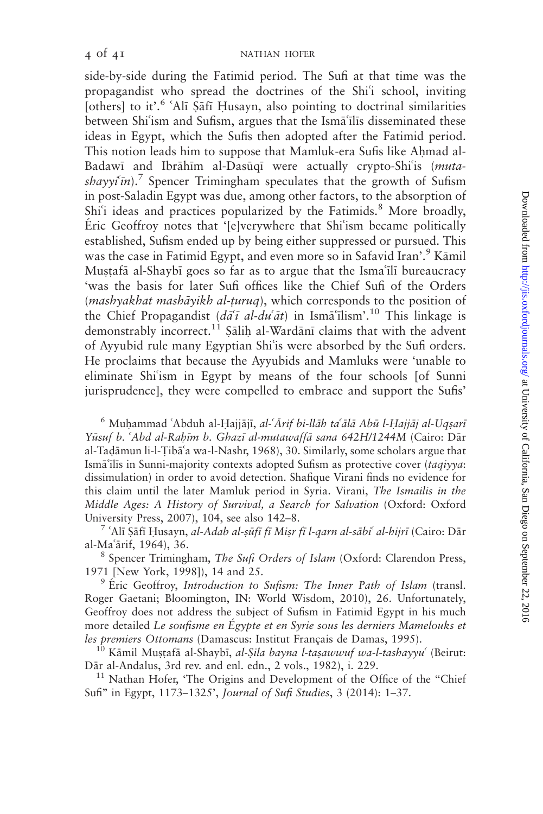side-by-side during the Fatimid period. The Sufi at that time was the propagandist who spread the doctrines of the Shi'i school, inviting [others] to it'.<sup>6</sup> 'Alī Şāfī Husayn, also pointing to doctrinal similarities between Shi'ism and Sufism, argues that the Isma'ilis disseminated these ideas in Egypt, which the Sufis then adopted after the Fatimid period. This notion leads him to suppose that Mamluk-era Sufis like Ahmad al-Badawi and Ibrāhīm al-Dasūqī were actually crypto-Shi'is (muta $shavyi\bar{i}n$ .<sup>7</sup> Spencer Trimingham speculates that the growth of Sufism in post-Saladin Egypt was due, among other factors, to the absorption of Shi<sup>6</sup>i ideas and practices popularized by the Fatimids.<sup>8</sup> More broadly, Éric Geoffroy notes that '[e]verywhere that Shi'ism became politically established, Sufism ended up by being either suppressed or pursued. This was the case in Fatimid Egypt, and even more so in Safavid Iran'.<sup>9</sup> Kāmil Mustafa al-Shaybi goes so far as to argue that the Isma'ili bureaucracy 'was the basis for later Sufi offices like the Chief Sufi of the Orders (mashyakhat mashāyikh al-țuruq), which corresponds to the position of the Chief Propagandist  $(d\tilde{a}^{\dagger} \tilde{a} - d\tilde{a}^{\dagger}d\tilde{a}t)$  in Ism $\tilde{a}^{\dagger}$ lism'.<sup>10</sup> This linkage is demonstrably incorrect.<sup>11</sup> Salih al-Wardani claims that with the advent of Ayyubid rule many Egyptian Shi'is were absorbed by the Sufi orders. He proclaims that because the Ayyubids and Mamluks were 'unable to eliminate Shi'ism in Egypt by means of the four schools [of Sunni jurisprudence], they were compelled to embrace and support the Sufis'

<sup>6</sup> Muhammad 'Abduh al-Hajjājī, *al-'Ārif bi-llāh ta'ālā Abū l-Hajjāj al-Uqsarī* Yūsuf b. 'Abd al-Rahīm b. Ghazī al-mutawaffā sana 642H/1244M (Cairo: Dār al-Tadāmun li-l-Tibāʿa wa-l-Nashr, 1968), 30. Similarly, some scholars argue that Ismā'ilis in Sunni-majority contexts adopted Sufism as protective cover (taqiyya: dissimulation) in order to avoid detection. Shafique Virani finds no evidence for this claim until the later Mamluk period in Syria. Virani, The Ismailis in the Middle Ages: A History of Survival, a Search for Salvation (Oxford: Oxford University Press, 2007), 104, see also 142–8.<br><sup>7</sup> 'Alī Şāfī Husayn, *al-Adab al-ṣūfī fī Miṣr fī l-qarn al-sābi<sup>6</sup> al-hijrī* (Cairo: Dār

al-Maʿārif, 1964), 36.<br><sup>8</sup> Spencer Trimingham, *The Sufi Orders of Islam* (Oxford: Clarendon Press,

1971 [New York, 1998]), 14 and 25.<br><sup>9</sup> Éric Geoffroy, *Introduction to Sufism: The Inner Path of Islam* (transl.

Roger Gaetani; Bloomington, IN: World Wisdom, 2010), 26. Unfortunately, Geoffroy does not address the subject of Sufism in Fatimid Egypt in his much more detailed Le soufisme en Égypte et en Syrie sous les derniers Mamelouks et les premiers Ottomans (Damascus: Institut Français de Damas, 1995).<br><sup>10</sup> Kāmil Muṣṭafā al-Shaybī, *al-Ṣila bayna l-taṣawwuf wa-l-tashayyu*<sup>6</sup> (Beirut:

Dār al-Andalus, 3rd rev. and enl. edn., 2 vols., 1982), i. 229.

<sup>11</sup> Nathan Hofer, 'The Origins and Development of the Office of the "Chief Sufi'' in Egypt, 1173–1325', Journal of Sufi Studies, 3 (2014): 1–37.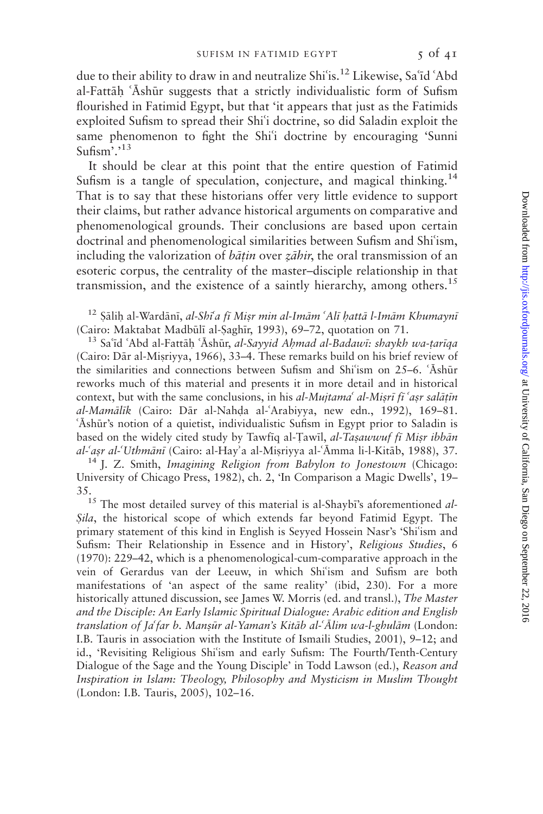due to their ability to draw in and neutralize Shi'is.<sup>12</sup> Likewise, Sa'id 'Abd al-Fattāh 'Āshūr suggests that a strictly individualistic form of Sufism flourished in Fatimid Egypt, but that 'it appears that just as the Fatimids exploited Sufism to spread their Shi'i doctrine, so did Saladin exploit the same phenomenon to fight the Shi'i doctrine by encouraging 'Sunni Sufism'.'<sup>13</sup>

It should be clear at this point that the entire question of Fatimid Sufism is a tangle of speculation, conjecture, and magical thinking.<sup>14</sup> That is to say that these historians offer very little evidence to support their claims, but rather advance historical arguments on comparative and phenomenological grounds. Their conclusions are based upon certain doctrinal and phenomenological similarities between Sufism and Shi'ism, including the valorization of *bātin* over *zāhir*, the oral transmission of an esoteric corpus, the centrality of the master–disciple relationship in that transmission, and the existence of a saintly hierarchy, among others.<sup>15</sup>

<sup>12</sup> Şālih al-Wardānī, *al-Shī<sup>t</sup>a fī Mişr min al-Imām* 'Alī *hattā l-Imām Khumaynī* (Cairo: Maktabat Madbūlī al-Saghīr, 1993), 69–72, quotation on 71.

<sup>13</sup> Sa'id 'Abd al-Fattāḥ 'Āshūr, *al-Sayyid Ahmad al-Badawi: shaykh wa-ṭarīqa* (Cairo: Dār al-Misriyya, 1966), 33–4. These remarks build on his brief review of the similarities and connections between Sufism and Shi $\frac{1}{10}$ ism on 25–6.  $\frac{1}{10}$ shur reworks much of this material and presents it in more detail and in historical context, but with the same conclusions, in his al-Mujtama al-Misri fi asr salatin al-Mamālīk (Cairo: Dār al-Nahḍa al-ʿArabiyya, new edn., 1992), 169-81. 'Ashūr's notion of a quietist, individualistic Sufism in Egypt prior to Saladin is based on the widely cited study by Tawfiq al-Tawil, al-Tasawwuf fi Misr ibban al-'asr al-'Uthmānī (Cairo: al-Hay'a al-Miṣriyya al-'Āmma li-l-Kitāb, 1988), 37. <sup>14</sup> J. Z. Smith, *Imagining Religion from Babylon to Jonestown* (Chicago:

University of Chicago Press, 1982), ch. 2, 'In Comparison a Magic Dwells', 19– 35.<br><sup>15</sup> The most detailed survey of this material is al-Shaybī's aforementioned *al-*

Sila, the historical scope of which extends far beyond Fatimid Egypt. The primary statement of this kind in English is Seyyed Hossein Nasr's 'Shi'ism and Sufism: Their Relationship in Essence and in History', Religious Studies, 6 (1970): 229–42, which is a phenomenological-cum-comparative approach in the vein of Gerardus van der Leeuw, in which Shi'ism and Sufism are both manifestations of 'an aspect of the same reality' (ibid, 230). For a more historically attuned discussion, see James W. Morris (ed. and transl.), The Master and the Disciple: An Early Islamic Spiritual Dialogue: Arabic edition and English translation of Ja'far b. Mansūr al-Yaman's Kitāb al-'Ālim wa-l-ghulām (London: I.B. Tauris in association with the Institute of Ismaili Studies, 2001), 9–12; and id., 'Revisiting Religious Shi'ism and early Sufism: The Fourth/Tenth-Century Dialogue of the Sage and the Young Disciple' in Todd Lawson (ed.), Reason and Inspiration in Islam: Theology, Philosophy and Mysticism in Muslim Thought (London: I.B. Tauris, 2005), 102–16.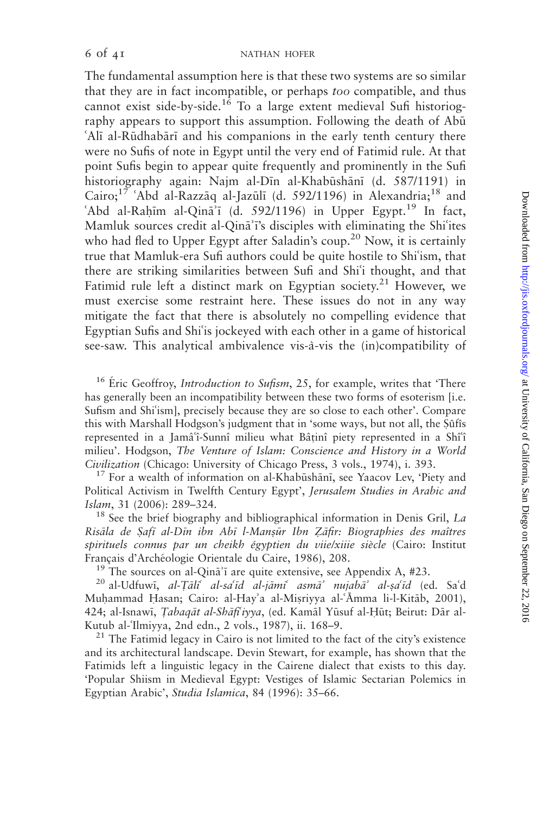The fundamental assumption here is that these two systems are so similar that they are in fact incompatible, or perhaps too compatible, and thus cannot exist side-by-side.<sup>16</sup> To a large extent medieval Sufi historiography appears to support this assumption. Following the death of Abū 'Alī al-Rūdhabārī and his companions in the early tenth century there were no Sufis of note in Egypt until the very end of Fatimid rule. At that point Sufis begin to appear quite frequently and prominently in the Sufi historiography again: Najm al-Dīn al-Khabūshānī (d. 587/1191) in Cairo;<sup>17</sup> 'Abd al-Razzāq al-Jazūlī (d. 592/1196) in Alexandria;<sup>18</sup> and 'Abd al-Rahim al-Qina<sup>3</sup>i (d. 592/1196) in Upper Egypt.<sup>19</sup> In fact, Mamluk sources credit al-Qina<sup>2</sup>i's disciples with eliminating the Shi<sup>9</sup>ites who had fled to Upper Egypt after Saladin's coup.<sup>20</sup> Now, it is certainly true that Mamluk-era Sufi authors could be quite hostile to Shi'ism, that there are striking similarities between Sufi and Shi'i thought, and that Fatimid rule left a distinct mark on Egyptian society.<sup>21</sup> However, we must exercise some restraint here. These issues do not in any way mitigate the fact that there is absolutely no compelling evidence that Egyptian Sufis and Shi'is jockeyed with each other in a game of historical see-saw. This analytical ambivalence vis-à-vis the (in)compatibility of

<sup>16</sup> Eric Geoffroy, *Introduction to Sufism*, 25, for example, writes that 'There has generally been an incompatibility between these two forms of esoterism [i.e. Sufism and Shi'ism], precisely because they are so close to each other'. Compare this with Marshall Hodgson's judgment that in 'some ways, but not all, the Sûfîs represented in a Jamâʿi-Sunnî milieu what Bâținî piety represented in a Shîʿî milieu'. Hodgson, The Venture of Islam: Conscience and History in a World

Civilization (Chicago: University of Chicago Press, 3 vols., 1974), i. 393.<br><sup>17</sup> For a wealth of information on al-Khabūshānī, see Yaacov Lev, 'Piety and Political Activism in Twelfth Century Egypt', Jerusalem Studies in Arabic and

*Islam*, 31 (2006): 289–324. 18 *Islam*, 31 (2006): 289–324. <sup>18</sup> See the brief biography and bibliographical information in Denis Gril, *La* Risāla de Safī al-Dīn ibn Abī l-Mansūr Ibn Zāfir: Biographies des maîtres spirituels connus par un cheikh égyptien du viie/xiiie siècle (Cairo: Institut

Français d'Archéologie Orientale du Caire, 1986), 208.<br><sup>19</sup> The sources on al-Qinā<sup>7</sup>i are quite extensive, see Appendix A, #23.<br><sup>20</sup> al-Udfuwi, *al-Tāli<sup>s</sup> al-sa<sup>5</sup>id al-jāmi<sup>s</sup> asmā<sup>3</sup> nujabā<sup>3</sup> al-șa<sup>6</sup>id (ed. Sa<sup>6</sup>d* Muhammad Hasan; Cairo: al-Hay'a al-Misriyya al-'Āmma li-l-Kitāb, 2001), 424; al-Isnawī, *Tabaqāt al-Shāfi'iyya*, (ed. Kamāl Yūsuf al-Ḥūt; Beirut: Dār al-Kutub al-Ilmiyya, 2nd edn., 2 vols., 1987), ii. 168–9.<br><sup>21</sup> The Fatimid legacy in Cairo is not limited to the fact of the city's existence

and its architectural landscape. Devin Stewart, for example, has shown that the Fatimids left a linguistic legacy in the Cairene dialect that exists to this day. 'Popular Shiism in Medieval Egypt: Vestiges of Islamic Sectarian Polemics in Egyptian Arabic', Studia Islamica, 84 (1996): 35–66.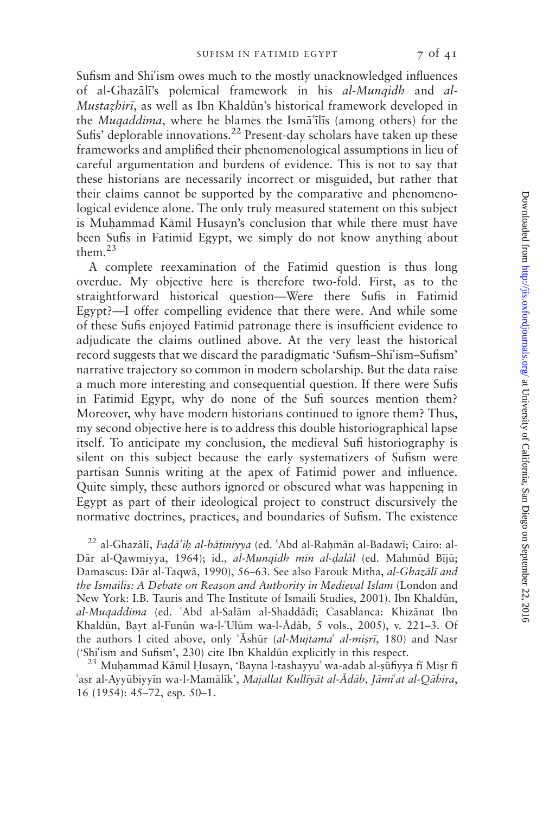Sufism and Shi'ism owes much to the mostly unacknowledged influences of al-Ghazālī's polemical framework in his al-Mungidh and al-Mustazhiri, as well as Ibn Khaldūn's historical framework developed in the Muqaddima, where he blames the Isma<sup>'</sup>ilis (among others) for the Sufis' deplorable innovations.<sup>22</sup> Present-day scholars have taken up these frameworks and amplified their phenomenological assumptions in lieu of careful argumentation and burdens of evidence. This is not to say that these historians are necessarily incorrect or misguided, but rather that their claims cannot be supported by the comparative and phenomenological evidence alone. The only truly measured statement on this subject is Muhammad Kāmil Husayn's conclusion that while there must have been Sufis in Fatimid Egypt, we simply do not know anything about them. $23$ 

A complete reexamination of the Fatimid question is thus long overdue. My objective here is therefore two-fold. First, as to the straightforward historical question—Were there Sufis in Fatimid Egypt?—I offer compelling evidence that there were. And while some of these Sufis enjoyed Fatimid patronage there is insufficient evidence to adjudicate the claims outlined above. At the very least the historical record suggests that we discard the paradigmatic 'Sufism-Shi'ism-Sufism' narrative trajectory so common in modern scholarship. But the data raise a much more interesting and consequential question. If there were Sufis in Fatimid Egypt, why do none of the Sufi sources mention them? Moreover, why have modern historians continued to ignore them? Thus, my second objective here is to address this double historiographical lapse itself. To anticipate my conclusion, the medieval Sufi historiography is silent on this subject because the early systematizers of Sufism were partisan Sunnis writing at the apex of Fatimid power and influence. Quite simply, these authors ignored or obscured what was happening in Egypt as part of their ideological project to construct discursively the normative doctrines, practices, and boundaries of Sufism. The existence

 $^{22}$  al-Ghazālī, Fadā'ih al-bāṭiniyya (ed. 'Abd al-Raḥmān al-Badawī; Cairo: al-Dār al-Qawmiyya, 1964); id., al-Munqidh min al-dalāl (ed. Mahmūd Bījū; Damascus: Dār al-Taqwā, 1990), 56–63. See also Farouk Mitha, al-Ghazālī and the Ismailis: A Debate on Reason and Authority in Medieval Islam (London and New York: I.B. Tauris and The Institute of Ismaili Studies, 2001). Ibn Khaldūn, al-Muqaddima (ed. 'Abd al-Salām al-Shaddādī; Casablanca: Khizānat Ibn Khaldūn, Bayt al-Funūn wa-l-'Ulūm wa-l-Ādāb, 5 vols., 2005), v. 221–3. Of the authors I cited above, only 'Āshūr (al-Mujtama' al-misrī, 180) and Nasr ('Shi'ism and Sufism', 230) cite Ibn Khaldūn explicitly in this respect.<br><sup>23</sup> Muḥammad Kāmil Ḥusayn, 'Bayna l-tashayyu' wa-adab al-ṣūfiyya fī Miṣr fī

'aşr al-Ayyūbiyyīn wa-l-Mamālīk', Majallat Kullīyāt al-Ādāb, Jāmi'at al-Qāhira, 16 (1954): 45–72, esp. 50–1.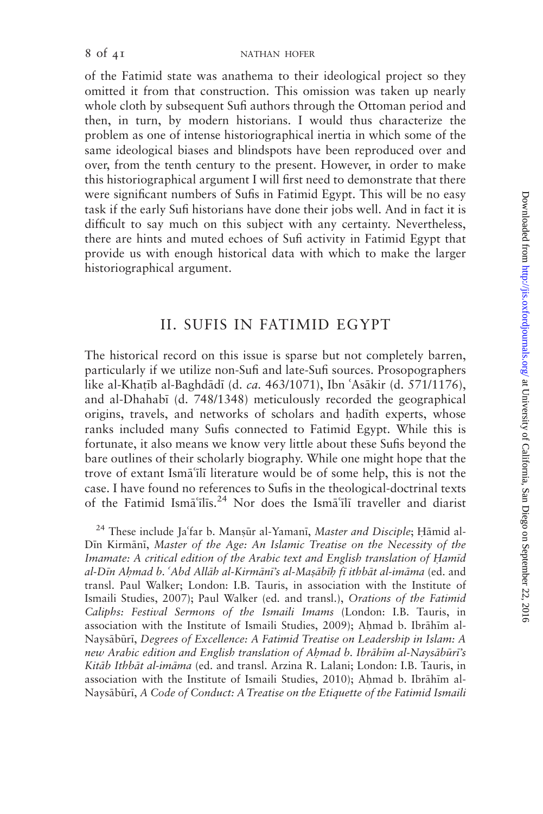of the Fatimid state was anathema to their ideological project so they omitted it from that construction. This omission was taken up nearly whole cloth by subsequent Sufi authors through the Ottoman period and then, in turn, by modern historians. I would thus characterize the problem as one of intense historiographical inertia in which some of the same ideological biases and blindspots have been reproduced over and over, from the tenth century to the present. However, in order to make this historiographical argument I will first need to demonstrate that there were significant numbers of Sufis in Fatimid Egypt. This will be no easy task if the early Sufi historians have done their jobs well. And in fact it is difficult to say much on this subject with any certainty. Nevertheless, there are hints and muted echoes of Sufi activity in Fatimid Egypt that provide us with enough historical data with which to make the larger historiographical argument.

# II. SUFIS IN FATIMID EGYPT

The historical record on this issue is sparse but not completely barren, particularly if we utilize non-Sufi and late-Sufi sources. Prosopographers like al-Khatīb al-Baghdādī (d. *ca.* 463/1071), Ibn 'Asākir (d. 571/1176), and al-Dhahab; (d. 748/1348) meticulously recorded the geographical origins, travels, and networks of scholars and hadith experts, whose ranks included many Sufis connected to Fatimid Egypt. While this is fortunate, it also means we know very little about these Sufis beyond the bare outlines of their scholarly biography. While one might hope that the trove of extant Isma<sup>'</sup>ili literature would be of some help, this is not the case. I have found no references to Sufis in the theological-doctrinal texts of the Fatimid Ism $\bar{a}$ 'ilis.<sup>24</sup> Nor does the Ism $\bar{a}$ 'ili traveller and diarist

<sup>24</sup> These include Ja'far b. Manșūr al-Yamanī, Master and Disciple; Hāmid al-Din Kirmāni, Master of the Age: An Islamic Treatise on the Necessity of the Imamate: A critical edition of the Arabic text and English translation of Hamid al-Dīn Ahmad b. 'Abd Allāh al-Kirmānī's al-Masābīh fī ithbāt al-imāma (ed. and transl. Paul Walker; London: I.B. Tauris, in association with the Institute of Ismaili Studies, 2007); Paul Walker (ed. and transl.), Orations of the Fatimid Caliphs: Festival Sermons of the Ismaili Imams (London: I.B. Tauris, in association with the Institute of Ismaili Studies, 2009); Ahmad b. Ibrāhīm al-Naysābūrī, Degrees of Excellence: A Fatimid Treatise on Leadership in Islam: A new Arabic edition and English translation of Ahmad b. Ibrāhīm al-Naysābūrī's Kitāb Ithbāt al-imāma (ed. and transl. Arzina R. Lalani; London: I.B. Tauris, in association with the Institute of Ismaili Studies, 2010); Ahmad b. Ibrāhīm al-Naysābūrī, A Code of Conduct: A Treatise on the Etiquette of the Fatimid Ismaili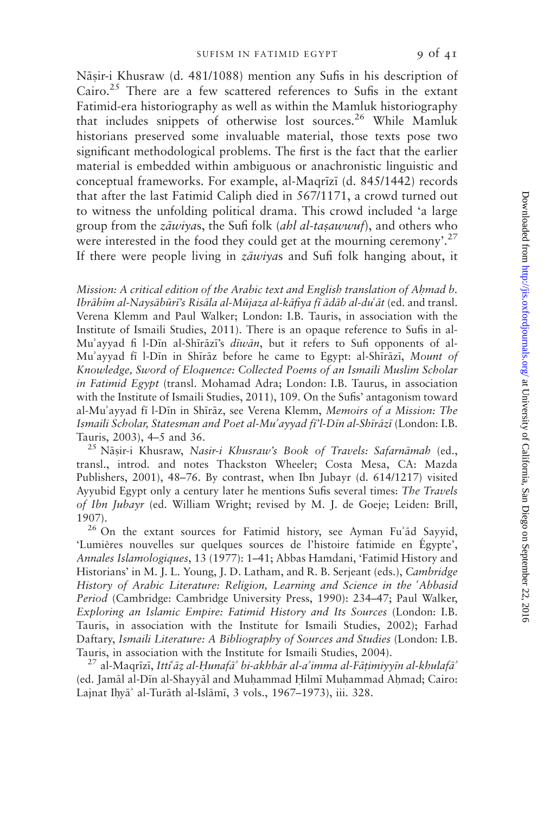Nāṣir-i Khusraw (d. 481/1088) mention any Sufis in his description of Cairo. $25$  There are a few scattered references to Sufis in the extant Fatimid-era historiography as well as within the Mamluk historiography that includes snippets of otherwise lost sources.<sup>26</sup> While Mamluk historians preserved some invaluable material, those texts pose two significant methodological problems. The first is the fact that the earlier material is embedded within ambiguous or anachronistic linguistic and conceptual frameworks. For example, al-Maqrīzī (d. 845/1442) records that after the last Fatimid Caliph died in 567/1171, a crowd turned out to witness the unfolding political drama. This crowd included 'a large group from the *zāwiyas*, the Sufi folk (*ahl al-taṣawwuf*), and others who were interested in the food they could get at the mourning ceremony'.<sup>27</sup> If there were people living in  $z\bar{a}w\bar{v}$  and Sufi folk hanging about, it

Mission: A critical edition of the Arabic text and English translation of Ahmad b. Ibrāhīm al-Naysābūrī's Risāla al-Mūjaza al-kāfiya fī ādāb al-duʿāt (ed. and transl. Verena Klemm and Paul Walker; London: I.B. Tauris, in association with the Institute of Ismaili Studies, 2011). There is an opaque reference to Sufis in al-Mu'ayyad fi l-Din al-Shirazi's diwan, but it refers to Sufi opponents of al-Mu'ayyad fi l-Din in Shiraz before he came to Egypt: al-Shirazi, Mount of Knowledge, Sword of Eloquence: Collected Poems of an Ismaili Muslim Scholar in Fatimid Egypt (transl. Mohamad Adra; London: I.B. Taurus, in association with the Institute of Ismaili Studies, 2011), 109. On the Sufis' antagonism toward al-Mu'ayyad fī l-Dīn in Shīrāz, see Verena Klemm, Memoirs of a Mission: The Ismaili Scholar, Statesman and Poet al-Mu'ayyad fi'l-Dīn al-Shīrāzī (London: I.B. Tauris, 2003), 4–5 and 36.<br><sup>25</sup> Nāsir-i Khusraw, *Nasir-i Khusraw's Book of Travels: Safarnāmah* (ed.,

transl., introd. and notes Thackston Wheeler; Costa Mesa, CA: Mazda Publishers, 2001), 48–76. By contrast, when Ibn Jubayr (d. 614/1217) visited Ayyubid Egypt only a century later he mentions Sufis several times: The Travels of Ibn Jubayr (ed. William Wright; revised by M. J. de Goeje; Leiden: Brill, 1907).<br><sup>26</sup> On the extant sources for Fatimid history, see Ayman Fu'ād Sayyid,

'Lumières nouvelles sur quelques sources de l'histoire fatimide en Égypte', Annales Islamologiques, 13 (1977): 1–41; Abbas Hamdani, 'Fatimid History and Historians' in M. J. L. Young, J. D. Latham, and R. B. Serjeant (eds.), Cambridge History of Arabic Literature: Religion, Learning and Science in the 'Abbasid Period (Cambridge: Cambridge University Press, 1990): 234–47; Paul Walker, Exploring an Islamic Empire: Fatimid History and Its Sources (London: I.B. Tauris, in association with the Institute for Ismaili Studies, 2002); Farhad Daftary, Ismaili Literature: A Bibliography of Sources and Studies (London: I.B. Tauris, in association with the Institute for Ismaili Studies, 2004).<br><sup>27</sup> al-Maqrīzī, *Itti<sup>c</sup>āz al-Hunafā*' bi-akhbār al-a'imma al-Fāṭimiyyīn al-khulafā'

(ed. Jamāl al-Dīn al-Shayyāl and Muḥammad Hilmī Muḥammad Aḥmad; Cairo: Lajnat Ihyā' al-Turāth al-Islāmī, 3 vols., 1967–1973), iii. 328.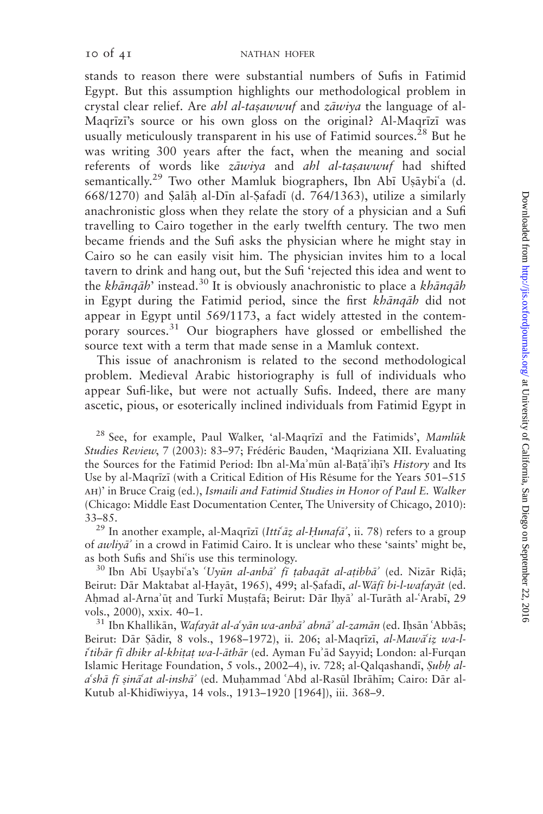stands to reason there were substantial numbers of Sufis in Fatimid Egypt. But this assumption highlights our methodological problem in crystal clear relief. Are *ahl al-tasawwuf* and  $z \bar{a} w i v a$  the language of al-Magrīzī's source or his own gloss on the original? Al-Magrīzī was usually meticulously transparent in his use of Fatimid sources.<sup>28</sup> But he was writing 300 years after the fact, when the meaning and social referents of words like zāwiya and ahl al-taşawwuf had shifted semantically.<sup>29</sup> Two other Mamluk biographers, Ibn Abī Usāybi'a (d. 668/1270) and Salāh al-Dīn al-Safadī (d. 764/1363), utilize a similarly anachronistic gloss when they relate the story of a physician and a Sufi travelling to Cairo together in the early twelfth century. The two men became friends and the Sufi asks the physician where he might stay in Cairo so he can easily visit him. The physician invites him to a local tavern to drink and hang out, but the Sufi 'rejected this idea and went to the khāngāh' instead.<sup>30</sup> It is obviously anachronistic to place a khāngāh in Egypt during the Fatimid period, since the first khanqah did not appear in Egypt until 569/1173, a fact widely attested in the contemporary sources.<sup>31</sup> Our biographers have glossed or embellished the source text with a term that made sense in a Mamluk context.

This issue of anachronism is related to the second methodological problem. Medieval Arabic historiography is full of individuals who appear Sufi-like, but were not actually Sufis. Indeed, there are many ascetic, pious, or esoterically inclined individuals from Fatimid Egypt in

<sup>28</sup> See, for example, Paul Walker, 'al-Maqrizi and the Fatimids', Mamluk Studies Review, 7 (2003): 83–97; Frédéric Bauden, 'Maqriziana XII. Evaluating the Sources for the Fatimid Period: Ibn al-Ma'mūn al-Batā'ihī's *History* and Its Use by al-Maqrīzī (with a Critical Edition of His Résume for the Years 501–515 ah)' in Bruce Craig (ed.), Ismaili and Fatimid Studies in Honor of Paul E. Walker (Chicago: Middle East Documentation Center, The University of Chicago, 2010):

33–85.<br><sup>29</sup> In another example, al-Maqrīzī (*Itti<sup>c</sup>āz al-Ḥunafā*<sup>2</sup>, ii. 78) refers to a group of *awliya*' in a crowd in Fatimid Cairo. It is unclear who these 'saints' might be,

as both Sufis and Shi'is use this terminology.<br><sup>30</sup> Ibn Abī Usaybi'a's '*Uyūn al-anbā' fī ṭabaqāt al-aṭibbā*' (ed. Nizār Riḍā; Beirut: Dār Maktabat al-Hayāt, 1965), 499; al-Șafadī, al-Wāfī bi-l-wafayāt (ed. Ahmad al-Arna'ūț and Turkī Mușțafā; Beirut: Dār Ihyā' al-Turāth al-ʿArabī, 29 vols., 2000), xxix. 40–1.<br><sup>31</sup> Ibn Khallikān, *Wafayāt al-a<sup>6</sup>yān wa-anbā<sup>2</sup> abnā<sup>2</sup> al-zamān (ed. Ihsān ʿAbbās;* 

Beirut: Dār Sādir, 8 vols., 1968–1972), ii. 206; al-Maqrīzī, al-Mawā'iz wa-litibār fī dhikr al-khitat wa-l-āthār (ed. Ayman Fu'ād Sayyid; London: al-Furqan Islamic Heritage Foundation, 5 vols., 2002-4), iv. 728; al-Qalqashandī, Subh ala'shā fī șinā'at al-inshā' (ed. Muḥammad 'Abd al-Rasūl Ibrāhīm; Cairo: Dār al-Kutub al-Khid;wiyya, 14 vols., 1913–1920 [1964]), iii. 368–9.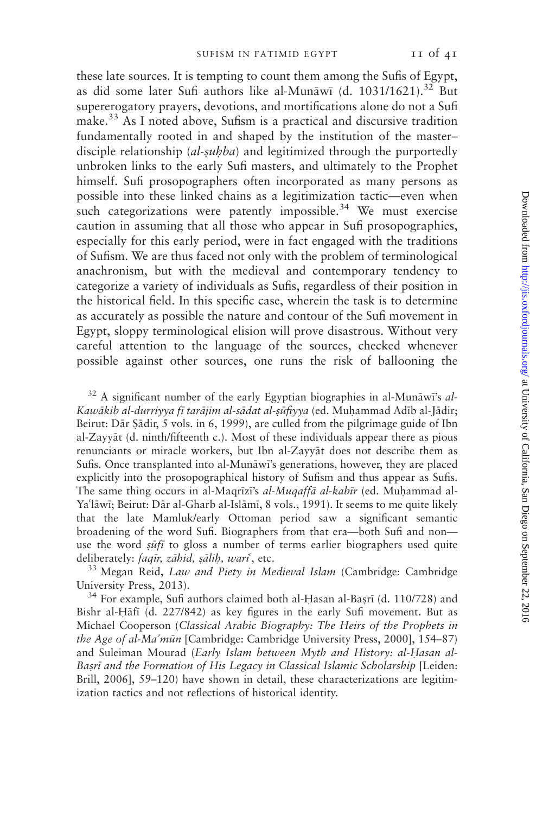these late sources. It is tempting to count them among the Sufis of Egypt, as did some later Sufi authors like al-Munāwī (d. 1031/1621).<sup>32</sup> But supererogatory prayers, devotions, and mortifications alone do not a Sufi make.33 As I noted above, Sufism is a practical and discursive tradition fundamentally rooted in and shaped by the institution of the master– disciple relationship  $(al-subba)$  and legitimized through the purportedly unbroken links to the early Sufi masters, and ultimately to the Prophet himself. Sufi prosopographers often incorporated as many persons as possible into these linked chains as a legitimization tactic—even when such categorizations were patently impossible.<sup>34</sup> We must exercise caution in assuming that all those who appear in Sufi prosopographies, especially for this early period, were in fact engaged with the traditions of Sufism. We are thus faced not only with the problem of terminological anachronism, but with the medieval and contemporary tendency to categorize a variety of individuals as Sufis, regardless of their position in the historical field. In this specific case, wherein the task is to determine as accurately as possible the nature and contour of the Sufi movement in Egypt, sloppy terminological elision will prove disastrous. Without very careful attention to the language of the sources, checked whenever possible against other sources, one runs the risk of ballooning the

 $32$  A significant number of the early Egyptian biographies in al-Munāwi's al-Kawākib al-durriyya fī tarājim al-sādat al-șūfiyya (ed. Muḥammad Adīb al-Jādir; Beirut: Dār Sādir, 5 vols. in 6, 1999), are culled from the pilgrimage guide of Ibn al-Zayyāt (d. ninth/fifteenth c.). Most of these individuals appear there as pious renunciants or miracle workers, but Ibn al-Zayyat does not describe them as Sufis. Once transplanted into al-Munāwi's generations, however, they are placed explicitly into the prosopographical history of Sufism and thus appear as Sufis. The same thing occurs in al-Maqrīzī's *al-Muqaffā al-kabīr* (ed. Muhammad al-Ya'lāwī; Beirut: Dār al-Gharb al-Islāmī, 8 vols., 1991). It seems to me quite likely that the late Mamluk/early Ottoman period saw a significant semantic broadening of the word Sufi. Biographers from that era—both Sufi and non use the word  $s\bar{u}f\bar{i}$  to gloss a number of terms earlier biographers used quite deliberately: *faqīr, zāhid, ṣālib, wari*, etc.<br><sup>33</sup> Megan Reid, *Law and Piety in Medieval Islam* (Cambridge: Cambridge

University Press, 2013).<br> $34$  For example, Sufi authors claimed both al-Hasan al-Basrī (d. 110/728) and

Bishr al-Hāfī (d. 227/842) as key figures in the early Sufi movement. But as Michael Cooperson (Classical Arabic Biography: The Heirs of the Prophets in the Age of al-Ma'mūn [Cambridge: Cambridge University Press, 2000], 154–87) and Suleiman Mourad (Early Islam between Myth and History: al-Hasan al-Basri and the Formation of His Legacy in Classical Islamic Scholarship [Leiden: Brill, 2006], 59–120) have shown in detail, these characterizations are legitimization tactics and not reflections of historical identity.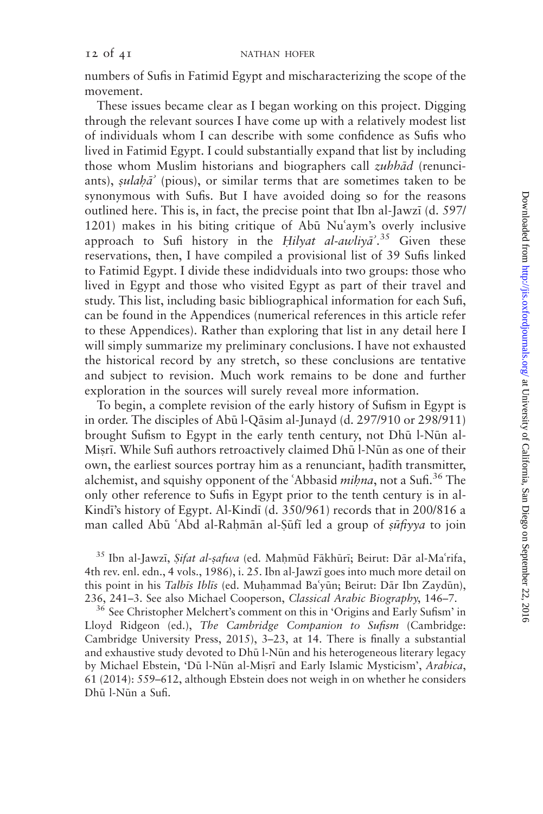numbers of Sufis in Fatimid Egypt and mischaracterizing the scope of the movement.

These issues became clear as I began working on this project. Digging through the relevant sources I have come up with a relatively modest list of individuals whom I can describe with some confidence as Sufis who lived in Fatimid Egypt. I could substantially expand that list by including those whom Muslim historians and biographers call  $\zeta$ uhh $\bar{a}d$  (renunciants), sulah $\bar{a}$ <sup>'</sup> (pious), or similar terms that are sometimes taken to be synonymous with Sufis. But I have avoided doing so for the reasons outlined here. This is, in fact, the precise point that Ibn al-Jawzi (d. 597/  $1201$ ) makes in his biting critique of Ab $\bar{u}$  Nu'aym's overly inclusive approach to Sufi history in the Hilyat al-awliya<sup>2</sup>.<sup>35</sup> Given these reservations, then, I have compiled a provisional list of 39 Sufis linked to Fatimid Egypt. I divide these indidviduals into two groups: those who lived in Egypt and those who visited Egypt as part of their travel and study. This list, including basic bibliographical information for each Sufi, can be found in the Appendices (numerical references in this article refer to these Appendices). Rather than exploring that list in any detail here I will simply summarize my preliminary conclusions. I have not exhausted the historical record by any stretch, so these conclusions are tentative and subject to revision. Much work remains to be done and further exploration in the sources will surely reveal more information.

To begin, a complete revision of the early history of Sufism in Egypt is in order. The disciples of Abū l-Qāsim al-Junayd (d. 297/910 or 298/911) brought Sufism to Egypt in the early tenth century, not Dhū l-Nūn al-Misrī. While Sufi authors retroactively claimed Dhū l-Nūn as one of their own, the earliest sources portray him as a renunciant, hadith transmitter, alchemist, and squishy opponent of the 'Abbasid *mihna*, not a Sufi.<sup>36</sup> The only other reference to Sufis in Egypt prior to the tenth century is in al-Kindī's history of Egypt. Al-Kindī (d. 350/961) records that in 200/816 a man called Abū 'Abd al-Rahmān al-Şūfī led a group of sūfiyya to join

<sup>35</sup> Ibn al-Jawzī, Sifat al-safwa (ed. Maḥmūd Fākhūrī; Beirut: Dār al-Maʿrifa, 4th rev. enl. edn., 4 vols., 1986), i. 25. Ibn al-Jawz; goes into much more detail on this point in his Talbīs Iblīs (ed. Muḥammad Ba'yūn; Beirut: Dār Ibn Zaydūn), 236, 241–3. See also Michael Cooperson, Classical Arabic Biography, 146–7.<br><sup>36</sup> See Christopher Melchert's comment on this in 'Origins and Early Sufism' in

Lloyd Ridgeon (ed.), The Cambridge Companion to Sufism (Cambridge: Cambridge University Press, 2015), 3–23, at 14. There is finally a substantial and exhaustive study devoted to Dhū l-Nūn and his heterogeneous literary legacy by Michael Ebstein, 'Dū l-Nūn al-Misrī and Early Islamic Mysticism', Arabica, 61 (2014): 559–612, although Ebstein does not weigh in on whether he considers Dhū l-Nūn a Sufi.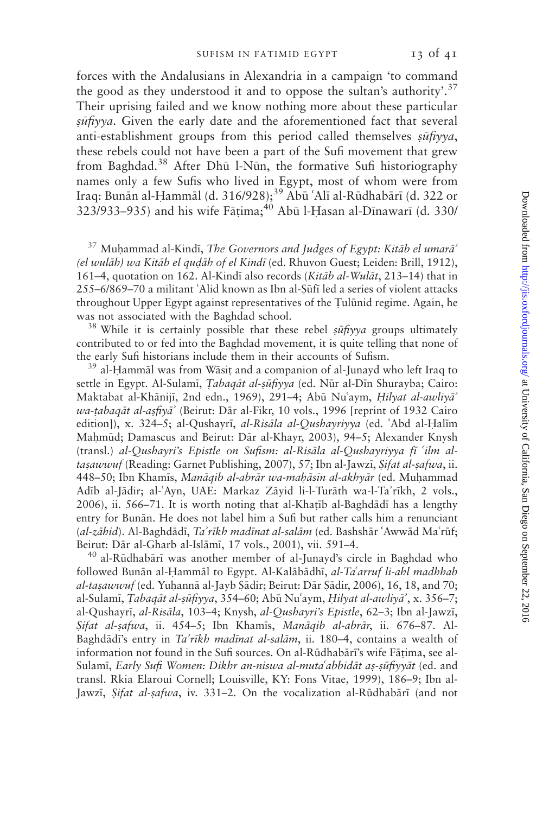forces with the Andalusians in Alexandria in a campaign 'to command the good as they understood it and to oppose the sultan's authority'.<sup>37</sup> Their uprising failed and we know nothing more about these particular  $s\bar{u}$ fivya. Given the early date and the aforementioned fact that several anti-establishment groups from this period called themselves  $s\bar{u}f\bar{v}v\bar{a}$ , these rebels could not have been a part of the Sufi movement that grew from Baghdad.<sup>38</sup> After Dhū l-Nūn, the formative Sufi historiography names only a few Sufis who lived in Egypt, most of whom were from Iraq: Bunān al-Hammāl (d. 316/928);<sup>39</sup> Abū ʿAlī al-Rūdhabārī (d. 322 or 323/933–935) and his wife Fātima; $^{40}$  Abū l-Hasan al-Dīnawarī (d. 330/

 $37$  Muhammad al-Kindī, The Governors and Judges of Egypt: Kitāb el umarā<sup>2</sup> (el wulāh) wa Kitāb el qudāh of el Kindī (ed. Rhuvon Guest; Leiden: Brill, 1912), 161–4, quotation on 162. Al-Kindī also records (Kitāb al-Wulāt, 213–14) that in 255–6/869–70 a militant 'Alid known as Ibn al-Sūfī led a series of violent attacks throughout Upper Egypt against representatives of the Tulūnid regime. Again, he was not associated with the Baghdad school.<br><sup>38</sup> While it is certainly possible that these rebel  $s\bar{u}f\gamma y a$  groups ultimately

contributed to or fed into the Baghdad movement, it is quite telling that none of the early Sufi historians include them in their accounts of Sufism.<br><sup>39</sup> al-Hammāl was from Wāsit and a companion of al-Junayd who left Iraq to

settle in Egypt. Al-Sulamī, *Tabaqāt al-sūfiyya* (ed. Nūr al-Dīn Shurayba; Cairo: Maktabat al-Khānijī, 2nd edn., 1969), 291-4; Abū Nu'aym, Hilyat al-awliyā' wa-tabaqāt al-asfiyā' (Beirut: Dār al-Fikr, 10 vols., 1996 [reprint of 1932 Cairo edition]), x. 324-5; al-Qushayrī, al-Risāla al-Qushayriyya (ed. 'Abd al-Halīm Mahmūd; Damascus and Beirut: Dār al-Khayr, 2003), 94–5; Alexander Knysh (transl.) al-Qushayri's Epistle on Sufism: al-Risāla al-Qushayriyya fī 'ilm altasawwuf (Reading: Garnet Publishing, 2007), 57; Ibn al-Jawzi, Sifat al-safwa, ii. 448–50; Ibn Khamis, Manāqib al-abrār wa-maḥāsin al-akhyār (ed. Muḥammad Adīb al-Jādir; al-ʿAyn, UAE: Markaz Zāyid li-l-Turāth wa-l-Ta'rīkh, 2 vols.,  $2006$ , ii. 566–71. It is worth noting that al-Khatīb al-Baghdādī has a lengthy entry for Bunān. He does not label him a Sufi but rather calls him a renunciant (al-zāhid). Al-Baghdādī, Ta'rīkh madīnat al-salām (ed. Bashshār 'Awwād Ma'rūf; Beirut: Dār al-Gharb al-Islāmī, 17 vols., 2001), vii. 591–4.<br><sup>40</sup> al-Rūdhabārī was another member of al-Junayd's circle in Baghdad who

followed Bunān al-Hammāl to Egypt. Al-Kalābādhī, al-Ta<sup>c</sup>arruf li-ahl madhhab al-taşawwuf (ed. Yuhannā al-Jayb Şādir; Beirut: Dār Şādir, 2006), 16, 18, and 70; al-Sulamī, *Tabaqāt al-sūfiyya*, 354–60; Abū Nuʿaym, Hilyat al-awliyā', x. 356–7; al-Qushayrī, al-Risāla, 103-4; Knysh, al-Qushayri's Epistle, 62-3; Ibn al-Jawzī, Sifat al-safwa, ii. 454–5; Ibn Khamīs, Manāqib al-abrār, ii. 676–87. Al-Baghdādī's entry in Ta'rīkh madīnat al-salām, ii. 180–4, contains a wealth of information not found in the Sufi sources. On al-Rūdhabārī's wife Fāțima, see al-Sulamī, Early Sufi Women: Dikhr an-niswa al-muta'abbidāt as-sūfiyyāt (ed. and transl. Rkia Elaroui Cornell; Louisville, KY: Fons Vitae, 1999), 186–9; Ibn al-Jawzi, Sifat al-safwa, iv. 331–2. On the vocalization al-Rūdhabārī (and not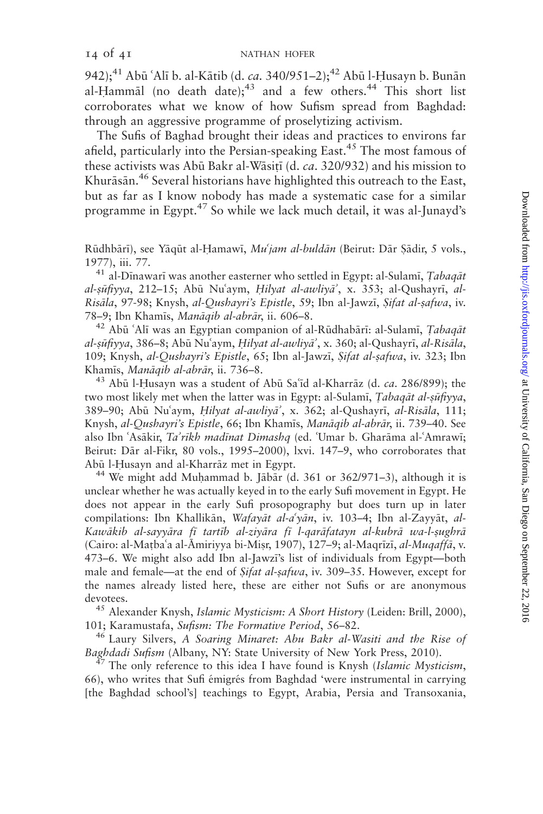942);<sup>41</sup> Abū 'Alī b. al-Kātib (d. ca. 340/951-2);<sup>42</sup> Abū l-Husayn b. Bunān al-Hammāl (no death date);<sup>43</sup> and a few others.<sup>44</sup> This short list corroborates what we know of how Sufism spread from Baghdad: through an aggressive programme of proselytizing activism.

The Sufis of Baghad brought their ideas and practices to environs far afield, particularly into the Persian-speaking East.<sup>45</sup> The most famous of these activists was Abū Bakr al-Wāsitī (d. ca. 320/932) and his mission to Khurāsān.<sup>46</sup> Several historians have highlighted this outreach to the East, but as far as I know nobody has made a systematic case for a similar programme in Egypt.<sup>47</sup> So while we lack much detail, it was al-Junayd's

Rūdhbārī), see Yāqūt al-Hamawī, Mu'jam al-buldān (Beirut: Dār Sādir, 5 vols., 1977), iii. 77.  $41$  al-Dīnawarī was another easterner who settled in Egypt: al-Sulamī, *Tabaqāt* 

al-sūfiyya, 212–15; Abū Nu'aym, Hilyat al-awliyā', x. 353; al-Qushayrī, al-Risāla, 97-98; Knysh, al-Qushayri's Epistle, 59; Ibn al-Jawzī, Sifat al-safwa, iv. 78–9; Ibn Khamīs, *Manāqib al-abrār*, ii. 606–8.<br><sup>42</sup> Abū ʿAlī was an Egyptian companion of al-Rūdhabārī: al-Sulamī, *Tabaqāt* 

al-șūfiyya, 386–8; Abū Nuʿaym, Hilyat al-awliyā', x. 360; al-Qushayrī, al-Risāla, 109; Knysh, al-Qushayri's Epistle, 65; Ibn al-Jawzī, Sifat al-safwa, iv. 323; Ibn Khamīs, *Manāqib al-abrār*, ii. 736–8.<br><sup>43</sup> Abū l-Husayn was a student of Abū Saʿīd al-Kharrāz (d. *ca.* 286/899); the

two most likely met when the latter was in Egypt: al-Sulami, Tabaqāt al-sūfiyya, 389–90; Abū Nu'aym, Hilyat al-awliyā', x. 362; al-Qushayrī, al-Risāla, 111; Knysh, al-Qushayri's Epistle, 66; Ibn Khamīs, Manāqib al-abrār, ii. 739–40. See also Ibn 'Asākir, Ta'rīkh madīnat Dimashq (ed. 'Umar b. Gharāma al-'Amrawī; Beirut: Dār al-Fikr, 80 vols., 1995–2000), lxvi. 147–9, who corroborates that Abū l-Husayn and al-Kharrāz met in Egypt.<br><sup>44</sup> We might add Muhammad b. Jābār (d. 361 or 362/971–3), although it is

unclear whether he was actually keyed in to the early Sufi movement in Egypt. He does not appear in the early Sufi prosopography but does turn up in later compilations: Ibn Khallikān, Wafayāt al-a'yān, iv. 103-4; Ibn al-Zayyāt, al-Kawākib al-sayyāra fī tartīb al-ziyāra fī l-qarāfatayn al-kubrā wa-l-șughrā (Cairo: al-Mațba'a al-Āmiriyya bi-Mișr, 1907), 127–9; al-Maqrīzī, al-Muqaffā, v. 473–6. We might also add Ibn al-Jawz;'s list of individuals from Egypt—both male and female—at the end of *Sifat al-safwa*, iv. 309–35. However, except for the names already listed here, these are either not Sufis or are anonymous devotees.<br><sup>45</sup> Alexander Knysh, *Islamic Mysticism: A Short History* (Leiden: Brill, 2000),

101; Karamustafa, Sufism: The Formative Period, 56–82.<br><sup>46</sup> Laury Silvers, A Soaring Minaret: Abu Bakr al-Wasiti and the Rise of

Baghdadi Sufism (Albany, NY: State University of New York Press, 2010). <sup>47</sup> The only reference to this idea I have found is Knysh (Islamic Mysticism,

66), who writes that Sufi émigrés from Baghdad 'were instrumental in carrying [the Baghdad school's] teachings to Egypt, Arabia, Persia and Transoxania,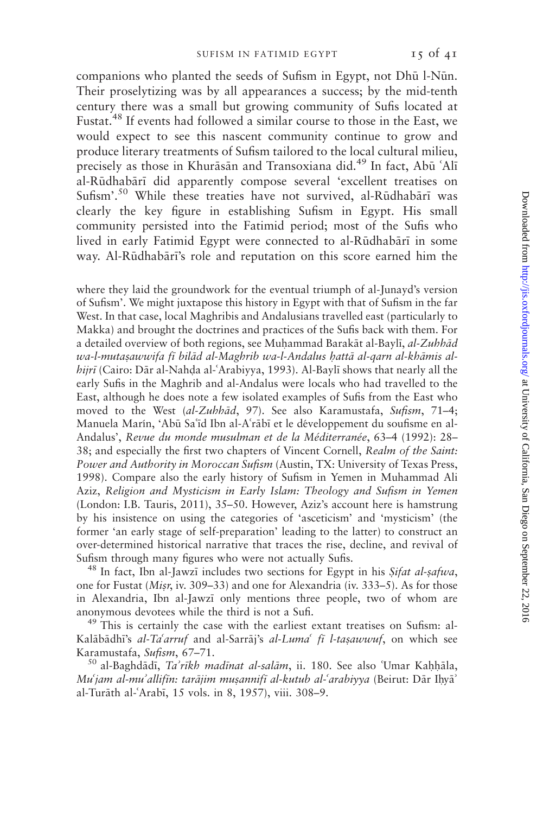companions who planted the seeds of Sufism in Egypt, not Dhū l-Nūn. Their proselytizing was by all appearances a success; by the mid-tenth century there was a small but growing community of Sufis located at Fustat.<sup>48</sup> If events had followed a similar course to those in the East, we would expect to see this nascent community continue to grow and produce literary treatments of Sufism tailored to the local cultural milieu, precisely as those in Khurāsān and Transoxiana did.<sup>49</sup> In fact, Abū 'Alī al-Rūdhabārī did apparently compose several 'excellent treatises on Sufism'.<sup>50</sup> While these treaties have not survived, al-Rūdhabārī was clearly the key figure in establishing Sufism in Egypt. His small community persisted into the Fatimid period; most of the Sufis who lived in early Fatimid Egypt were connected to al-Rūdhabārī in some way. Al-Rūdhabārī's role and reputation on this score earned him the

where they laid the groundwork for the eventual triumph of al-Junayd's version of Sufism'. We might juxtapose this history in Egypt with that of Sufism in the far West. In that case, local Maghribis and Andalusians travelled east (particularly to Makka) and brought the doctrines and practices of the Sufis back with them. For a detailed overview of both regions, see Muhammad Barakāt al-Baylī, al-Zuhhād wa-l-mutasawwifa fī bilād al-Maghrib wa-l-Andalus hattā al-qarn al-khāmis alhijrī (Cairo: Dār al-Nahḍa al-ʿArabiyya, 1993). Al-Baylī shows that nearly all the early Sufis in the Maghrib and al-Andalus were locals who had travelled to the East, although he does note a few isolated examples of Sufis from the East who moved to the West (al-Zuhhād, 97). See also Karamustafa, Sufism, 71-4; Manuela Marín, 'Abū Sa'id Ibn al-A'rābī et le développement du soufisme en al-Andalus', Revue du monde musulman et de la Méditerranée, 63-4 (1992): 28-38; and especially the first two chapters of Vincent Cornell, Realm of the Saint: Power and Authority in Moroccan Sufism (Austin, TX: University of Texas Press, 1998). Compare also the early history of Sufism in Yemen in Muhammad Ali Aziz, Religion and Mysticism in Early Islam: Theology and Sufism in Yemen (London: I.B. Tauris, 2011), 35–50. However, Aziz's account here is hamstrung by his insistence on using the categories of 'asceticism' and 'mysticism' (the former 'an early stage of self-preparation' leading to the latter) to construct an over-determined historical narrative that traces the rise, decline, and revival of Sufism through many figures who were not actually Sufis.<br><sup>48</sup> In fact, Ibn al-Jawzī includes two sections for Egypt in his *Sifat al-safwa*,

one for Fustat (Misr, iv. 309–33) and one for Alexandria (iv. 333–5). As for those in Alexandria, Ibn al-Jawzī only mentions three people, two of whom are anonymous devotees while the third is not a Sufi.<br><sup>49</sup> This is certainly the case with the earliest extant treatises on Sufism: al-

Kalābādhī's al-Ta'arruf and al-Sarrāj's al-Luma' fī l-taṣawwuf, on which see Karamustafa, Sufism, 67–71.<br><sup>50</sup> al-Baghdādī, *Ta'rīkh madīnat al-salām*, ii. 180. See also ʿUmar Kaḥḥāla,

Mu'jam al-mu'allifin: tarājim mușannifī al-kutub al-'arabiyya (Beirut: Dār Ihyā' al-Turāth al-'Arabī, 15 vols. in 8, 1957), viii. 308-9.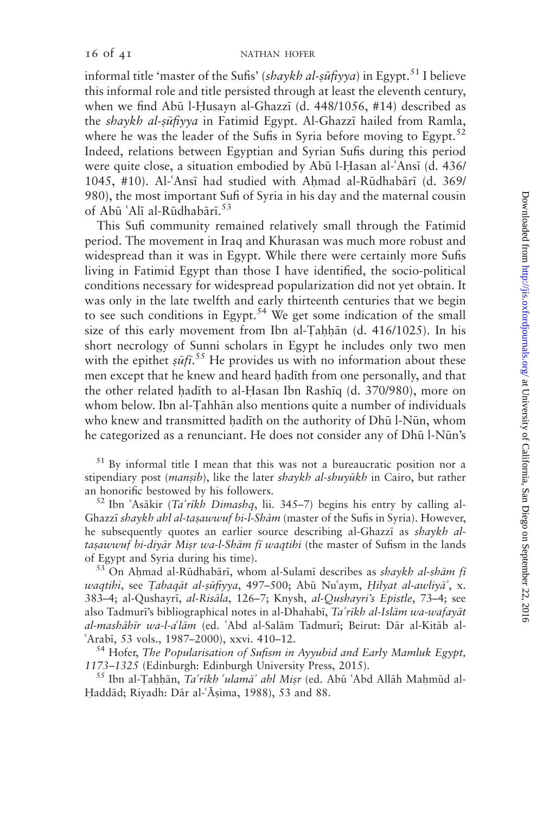informal title 'master of the Sufis' (shaykh al-sūfiyya) in Egypt.<sup>51</sup> I believe this informal role and title persisted through at least the eleventh century, when we find Abū l-Husayn al-Ghazzī (d. 448/1056, #14) described as the *shaykh al-sūfiyya* in Fatimid Egypt. Al-Ghazzī hailed from Ramla, where he was the leader of the Sufis in Syria before moving to Egypt.<sup>52</sup> Indeed, relations between Egyptian and Syrian Sufis during this period were quite close, a situation embodied by Abū l-Hasan al-'Ansī (d. 436/ 1045, #10). Al-'Ansī had studied with Ahmad al-Rūdhabārī (d. 369/ 980), the most important Sufi of Syria in his day and the maternal cousin of Abū 'Alī al-Rūdhabārī.<sup>53</sup>

This Sufi community remained relatively small through the Fatimid period. The movement in Iraq and Khurasan was much more robust and widespread than it was in Egypt. While there were certainly more Sufis living in Fatimid Egypt than those I have identified, the socio-political conditions necessary for widespread popularization did not yet obtain. It was only in the late twelfth and early thirteenth centuries that we begin to see such conditions in Egypt.<sup>54</sup> We get some indication of the small size of this early movement from Ibn al-Tahhān  $(d. 416/1025)$ . In his short necrology of Sunni scholars in Egypt he includes only two men with the epithet  $\sinh 55$  He provides us with no information about these men except that he knew and heard hadith from one personally, and that the other related hadith to al-Hasan Ibn Rashiq (d. 370/980), more on whom below. Ibn al-Tahhān also mentions quite a number of individuals who knew and transmitted hadith on the authority of Dhū l-Nūn, whom he categorized as a renunciant. He does not consider any of Dhū l-Nūn's

 $51$  By informal title I mean that this was not a bureaucratic position nor a stipendiary post (*mansib*), like the later shaykh al-shuyūkh in Cairo, but rather an honorific bestowed by his followers.<br><sup>52</sup> Ibn *`Asākir (Ta'rīkh Dimashq*, lii. 345–7) begins his entry by calling al-

Ghazzī shaykh ahl al-tasawwuf bi-l-Shām (master of the Sufis in Syria). However, he subsequently quotes an earlier source describing al-Ghazzi as *shaykh al*tasawwuf bi-diyar Misr wa-l-Shām fī waqtihi (the master of Sufism in the lands of Egypt and Syria during his time).<br><sup>53</sup> On Ahmad al-Rūdhabārī, whom al-Sulamī describes as *shaykh al-shām fī* 

waqtihi, see Tabaqāt al-șūfiyya, 497–500; Abū Nu'aym, Hilyat al-awliyā', x. 383–4; al-Qushayrī, al-Risāla, 126–7; Knysh, al-Qushayri's Epistle, 73–4; see also Tadmuri's bibliographical notes in al-Dhahabi, Ta'rikh al-Islām wa-wafayāt al-mashāhīr wa-l-a'lām (ed. 'Abd al-Salām Tadmurī; Beirut: Dār al-Kitāb al-

6Arabī, 53 vols., 1987–2000), xxvi. 410–12.<br><sup>54</sup> Hofer, *The Popularisation of Sufism in Ayyubid and Early Mamluk Egypt,* 1173–1325 (Edinburgh: Edinburgh University Press, 2015).

<sup>55</sup> Ibn al-Taḥḥān, Ta'rīkh 'ulamā' ahl Miṣr (ed. Abū 'Abd Allāh Maḥmūd al-Haddād; Riyadh: Dār al-'Āṣima, 1988), 53 and 88.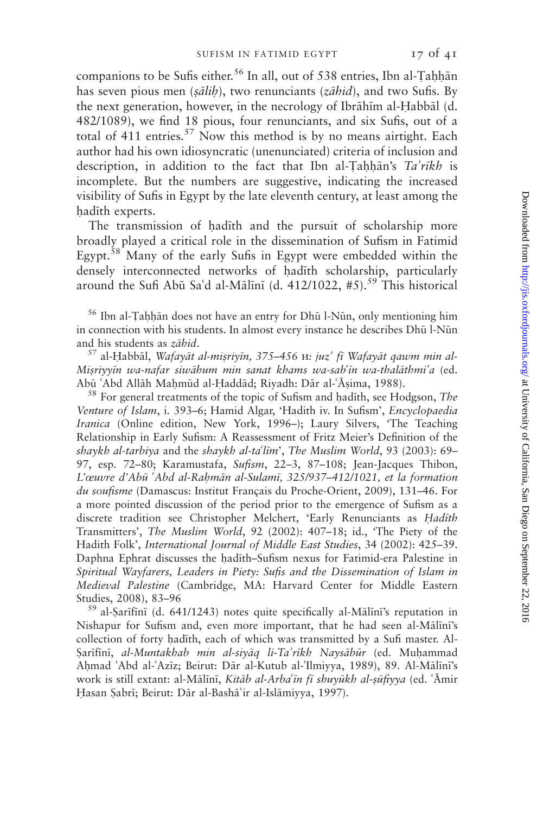companions to be Sufis either.<sup>56</sup> In all, out of 538 entries, Ibn al-Tahhān has seven pious men (sālih), two renunciants ( $z\bar{a}hid$ ), and two Sufis. By the next generation, however, in the necrology of Ibrāhīm al-Habbāl (d. 482/1089), we find 18 pious, four renunciants, and six Sufis, out of a total of 411 entries.<sup>57</sup> Now this method is by no means airtight. Each author had his own idiosyncratic (unenunciated) criteria of inclusion and description, in addition to the fact that Ibn al-Tahhan's  $Ta'rikh$  is incomplete. But the numbers are suggestive, indicating the increased visibility of Sufis in Egypt by the late eleventh century, at least among the hadīth experts.

The transmission of hadith and the pursuit of scholarship more broadly played a critical role in the dissemination of Sufism in Fatimid Egypt.<sup>58</sup> Many of the early Sufis in Egypt were embedded within the densely interconnected networks of hadith scholarship, particularly around the Sufi Abū Sa'd al-Mālīnī (d. 412/1022, #5).<sup>59</sup> This historical

 $56$  Ibn al-Tahhān does not have an entry for Dhū l-Nūn, only mentioning him in connection with his students. In almost every instance he describes Dhū l-Nūn

and his students as *zābid*.<br><sup>57</sup> al-Ḥabbāl, *Wafayāt al-miṣriyīn, 375–456*  $\text{H}:$  *juz' fī Wafayāt qawm min al-*Misriyyin wa-nafar siwāhum min sanat khams wa-sab'in wa-thalāthmi'a (ed. Abū 'Abd Allāh Maḥmūd al-Ḥaddād; Riyadh: Dār al-ʿĀṣima, 1988). <sup>58</sup> For general treatments of the topic of Sufism and ḥadīth, see Hodgson, *The* 

Venture of Islam, i. 393–6; Hamid Algar, 'Hadith iv. In Sufism', Encyclopaedia Iranica (Online edition, New York, 1996–); Laury Silvers, 'The Teaching Relationship in Early Sufism: A Reassessment of Fritz Meier's Definition of the shaykh al-tarbiya and the shaykh al-ta'līm', The Muslim World, 93 (2003): 69– 97, esp. 72–80; Karamustafa, Sufism, 22–3, 87–108; Jean-Jacques Thibon, L'œuvre d'Abū 'Abd al-Rahmān al-Sulamī, 325/937-412/1021, et la formation du soufisme (Damascus: Institut Français du Proche-Orient, 2009), 131–46. For a more pointed discussion of the period prior to the emergence of Sufism as a discrete tradition see Christopher Melchert, 'Early Renunciants as Hadīth Transmitters', The Muslim World, 92 (2002): 407–18; id., 'The Piety of the Hadith Folk', International Journal of Middle East Studies, 34 (2002): 425–39. Daphna Ephrat discusses the Aad;th–Sufism nexus for Fatimid-era Palestine in Spiritual Wayfarers, Leaders in Piety: Sufis and the Dissemination of Islam in Medieval Palestine (Cambridge, MA: Harvard Center for Middle Eastern Studies, 2008), 83–96<br><sup>59</sup> al-Sarīfīnī (d. 641/1243) notes quite specifically al-Mālīnī's reputation in

Nishapur for Sufism and, even more important, that he had seen al-Mālīnī's collection of forty hadith, each of which was transmitted by a Sufi master. Al-Şarīfīnī, al-Muntakhab min al-siyāq li-Ta'rīkh Naysābūr (ed. Muhammad Ahmad 'Abd al-'Azīz; Beirut: Dār al-Kutub al-'Ilmiyya, 1989), 89. Al-Mālīnī's work is still extant: al-Mālīnī, Kitāb al-Arba'īn fī shuyūkh al-sūfiyya (ed. 'Āmir Hasan Şabrī; Beirut: Dār al-Bashā'ir al-Islāmiyya, 1997).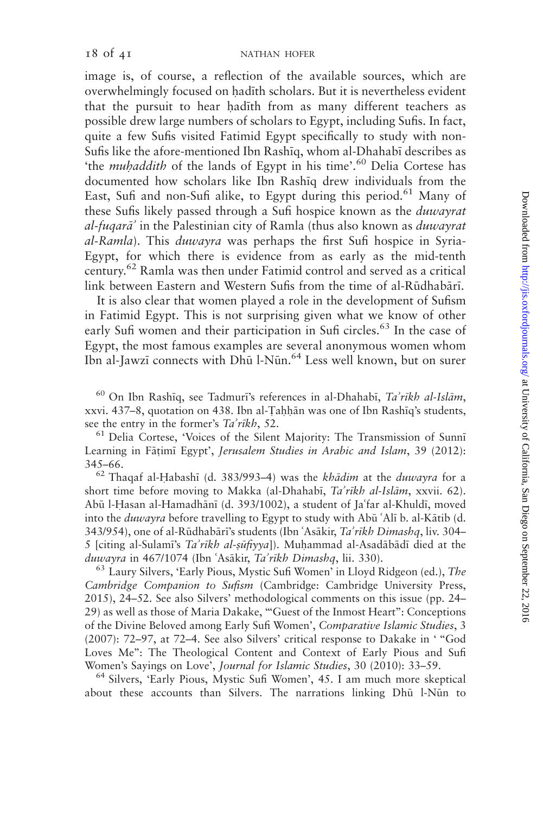image is, of course, a reflection of the available sources, which are overwhelmingly focused on hadīth scholars. But it is nevertheless evident that the pursuit to hear hadith from as many different teachers as possible drew large numbers of scholars to Egypt, including Sufis. In fact, quite a few Sufis visited Fatimid Egypt specifically to study with non-Sufis like the afore-mentioned Ibn Rashiq, whom al-Dhahabi describes as 'the *muhaddith* of the lands of Egypt in his time'.<sup>60</sup> Delia Cortese has documented how scholars like Ibn Rashiq drew individuals from the East, Sufi and non-Sufi alike, to Egypt during this period.<sup>61</sup> Many of these Sufis likely passed through a Sufi hospice known as the duwayrat al-fuqar $\vec{a}$  in the Palestinian city of Ramla (thus also known as *duwayrat* al-Ramla). This duwayra was perhaps the first Sufi hospice in Syria-Egypt, for which there is evidence from as early as the mid-tenth century.<sup>62</sup> Ramla was then under Fatimid control and served as a critical link between Eastern and Western Sufis from the time of al-Rūdhabārī.

It is also clear that women played a role in the development of Sufism in Fatimid Egypt. This is not surprising given what we know of other early Sufi women and their participation in Sufi circles.<sup>63</sup> In the case of Egypt, the most famous examples are several anonymous women whom Ibn al-Jawzī connects with Dhū l-Nūn.<sup>64</sup> Less well known, but on surer

<sup>60</sup> On Ibn Rashīq, see Tadmurī's references in al-Dhahabī, Ta'rīkh al-Islām, xxvi. 437–8, quotation on 438. Ibn al-Tahhān was one of Ibn Rashīq's students,

see the entry in the former's  $Ta'r\nexists k$ , 52.<br><sup>61</sup> Delia Cortese, 'Voices of the Silent Majority: The Transmission of Sunnī Learning in Fāțimī Egypt', Jerusalem Studies in Arabic and Islam, 39 (2012):

345–66.<br><sup>62</sup> Thaqaf al-Habashī (d. 383/993–4) was the *khādim* at the *duwayra* for a short time before moving to Makka (al-Dhahabi, Ta'rikh al-Islām, xxvii. 62). Abū l-Hasan al-Hamadhānī (d. 393/1002), a student of Ja'far al-Khuldī, moved into the *duwayra* before travelling to Egypt to study with Abū 'Alī b. al-Kātib (d. 343/954), one of al-Rūdhabārī's students (Ibn 'Asākir, Ta'rīkh Dimashq, liv. 304– 5 [citing al-Sulami's  $Ta'rikh$  al-sūfiyya]). Muhammad al-Asadābādī died at the

duwayra in 467/1074 (Ibn 'Asākir, Ta'rīkh Dimashq, lii. 330).<br><sup>63</sup> Laury Silvers, 'Early Pious, Mystic Sufi Women' in Lloyd Ridgeon (ed.), The Cambridge Companion to Sufism (Cambridge: Cambridge University Press, 2015), 24–52. See also Silvers' methodological comments on this issue (pp. 24– 29) as well as those of Maria Dakake, '''Guest of the Inmost Heart'': Conceptions of the Divine Beloved among Early Sufi Women', Comparative Islamic Studies, 3 (2007): 72–97, at 72–4. See also Silvers' critical response to Dakake in ' ''God Loves Me'': The Theological Content and Context of Early Pious and Sufi

Women's Sayings on Love', *Journal for Islamic Studies*, 30 (2010): 33–59.<br><sup>64</sup> Silvers, 'Early Pious, Mystic Sufi Women', 45. I am much more skeptical about these accounts than Silvers. The narrations linking Dhū l-Nūn to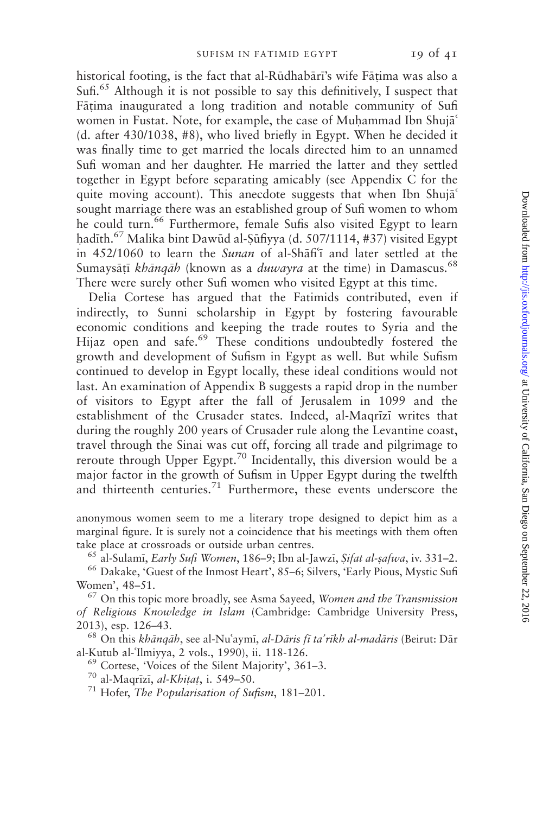historical footing, is the fact that al-Rūdhabārī's wife Fātima was also a Sufi.<sup>65</sup> Although it is not possible to say this definitively. I suspect that Fātima inaugurated a long tradition and notable community of Sufi women in Fustat. Note, for example, the case of Muhammad Ibn Shuja<sup>s</sup> (d. after 430/1038, #8), who lived briefly in Egypt. When he decided it was finally time to get married the locals directed him to an unnamed Sufi woman and her daughter. He married the latter and they settled together in Egypt before separating amicably (see Appendix C for the quite moving account). This anecdote suggests that when Ibn Shuja<sup>c</sup> sought marriage there was an established group of Sufi women to whom he could turn.<sup>66</sup> Furthermore, female Sufis also visited Egypt to learn hadīth.<sup>67</sup> Malika bint Dawūd al-Şūfiyya (d. 507/1114, #37) visited Egypt in 452/1060 to learn the Sunan of al-Shafi'i and later settled at the Sumaysātī khāngāh (known as a duwayra at the time) in Damascus.<sup>68</sup> There were surely other Sufi women who visited Egypt at this time.

Delia Cortese has argued that the Fatimids contributed, even if indirectly, to Sunni scholarship in Egypt by fostering favourable economic conditions and keeping the trade routes to Syria and the Hijaz open and safe.<sup>69</sup> These conditions undoubtedly fostered the growth and development of Sufism in Egypt as well. But while Sufism continued to develop in Egypt locally, these ideal conditions would not last. An examination of Appendix B suggests a rapid drop in the number of visitors to Egypt after the fall of Jerusalem in 1099 and the establishment of the Crusader states. Indeed, al-Magrizi writes that during the roughly 200 years of Crusader rule along the Levantine coast, travel through the Sinai was cut off, forcing all trade and pilgrimage to reroute through Upper Egypt.<sup>70</sup> Incidentally, this diversion would be a major factor in the growth of Sufism in Upper Egypt during the twelfth and thirteenth centuries.<sup>71</sup> Furthermore, these events underscore the

anonymous women seem to me a literary trope designed to depict him as a marginal figure. It is surely not a coincidence that his meetings with them often

take place at crossroads or outside urban centres.<br><sup>65</sup> al-Sulamī, *Early Sufi Women*, 186–9; Ibn al-Jawzī, *Șifat al-șafwa*, iv. 331–2.<br><sup>66</sup> Dakake, 'Guest of the Inmost Heart', 85–6; Silvers, 'Early Pious, Mystic Sufi Women', 48–51.<br><sup>67</sup> On this topic more broadly, see Asma Sayeed, *Women and the Transmission* 

of Religious Knowledge in Islam (Cambridge: Cambridge University Press,

2013), esp. 126–43.<br><sup>68</sup> On this *khānqāh*, see al-Nuʿaymī, *al-Dāris fī ta'rīkh al-madāris* (Beirut: Dār al-Kutub al-ʿIlmiyya, 2 vols., 1990), ii. 118-126.

<sup>69</sup> Cortese, 'Voices of the Silent Majority', 361–3. <sup>70</sup> al-Maqrīzī, *al-Khitat*, i. 549–50. <sup>71</sup> Hofer, *The Popularisation of Sufism*, 181–201.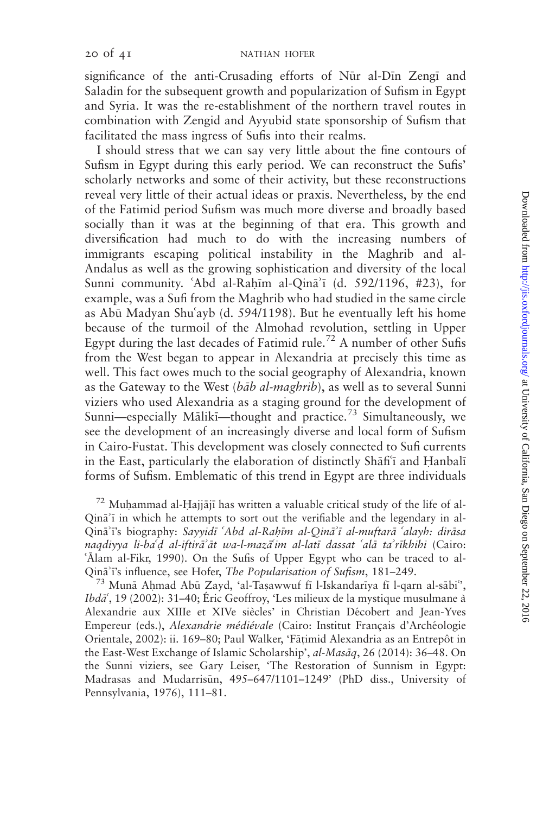significance of the anti-Crusading efforts of Nūr al-Dīn Zengī and Saladin for the subsequent growth and popularization of Sufism in Egypt and Syria. It was the re-establishment of the northern travel routes in combination with Zengid and Ayyubid state sponsorship of Sufism that facilitated the mass ingress of Sufis into their realms.

I should stress that we can say very little about the fine contours of Sufism in Egypt during this early period. We can reconstruct the Sufis' scholarly networks and some of their activity, but these reconstructions reveal very little of their actual ideas or praxis. Nevertheless, by the end of the Fatimid period Sufism was much more diverse and broadly based socially than it was at the beginning of that era. This growth and diversification had much to do with the increasing numbers of immigrants escaping political instability in the Maghrib and al-Andalus as well as the growing sophistication and diversity of the local Sunni community. Abd al-Rahim al-Qin $\bar{a}$ <sup>2</sup> (d. 592/1196, #23), for example, was a Sufi from the Maghrib who had studied in the same circle as Abū Madyan Shu'ayb (d. 594/1198). But he eventually left his home because of the turmoil of the Almohad revolution, settling in Upper Egypt during the last decades of Fatimid rule.<sup>72</sup> A number of other Sufis from the West began to appear in Alexandria at precisely this time as well. This fact owes much to the social geography of Alexandria, known as the Gateway to the West (bab al-maghrib), as well as to several Sunni viziers who used Alexandria as a staging ground for the development of Sunni—especially Mālikī—thought and practice.<sup>73</sup> Simultaneously, we see the development of an increasingly diverse and local form of Sufism in Cairo-Fustat. This development was closely connected to Sufi currents in the East, particularly the elaboration of distinctly Shafi<sup>6</sup> and Hanbali forms of Sufism. Emblematic of this trend in Egypt are three individuals

 $72$  Muhammad al-Hajjājī has written a valuable critical study of the life of al-Qina<sup>'</sup>i in which he attempts to sort out the verifiable and the legendary in al-Qinā'ī's biography: Sayyidī 'Abd al-Rahīm al-Qinā'ī al-muftarā 'alayh: dirāsa naqdiyya li-ba'd al-iftirā'āt wa-l-mazā'im al-latī dassat 'alā ta'rīkhihi (Cairo: 'Alam al-Fikr, 1990). On the Sufis of Upper Egypt who can be traced to al-Qinā'ī's influence, see Hofer, *The Popularisation of Sufism*, 181–249.<br><sup>73</sup> Munā Ahmad Abū Zayd, 'al-Taşawwuf fī l-Iskandarīya fī l-qarn al-sābi'',

Ibd $\vec{a}$ , 19 (2002): 31–40; Eric Geoffroy, 'Les milieux de la mystique musulmane à Alexandrie aux XIIIe et XIVe siècles' in Christian Décobert and Jean-Yves Empereur (eds.), Alexandrie médiévale (Cairo: Institut Français d'Archéologie Orientale, 2002): ii. 169–80; Paul Walker, 'Fātimid Alexandria as an Entrepôt in the East-West Exchange of Islamic Scholarship', al-Masāq, 26 (2014): 36–48. On the Sunni viziers, see Gary Leiser, 'The Restoration of Sunnism in Egypt: Madrasas and Mudarrisūn, 495-647/1101-1249' (PhD diss., University of Pennsylvania, 1976), 111–81.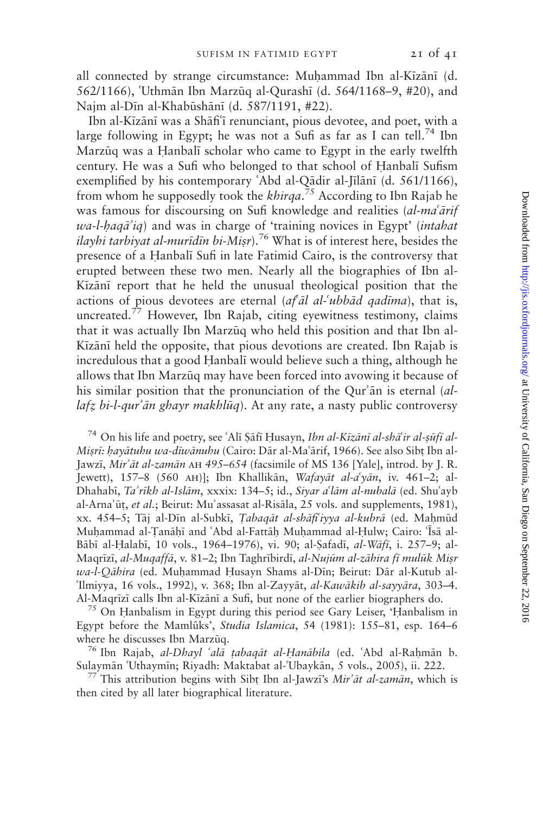all connected by strange circumstance: Muhammad Ibn al-Kīzānī (d. 562/1166), 'Uthmān Ibn Marzūq al-Qurashī (d. 564/1168–9, #20), and Najm al-Dīn al-Khabūshānī (d. 587/1191, #22).

Ibn al-Kīzānī was a Shāfi<sup>-</sup>ī renunciant, pious devotee, and poet, with a large following in Egypt; he was not a Sufi as far as I can tell.<sup>74</sup> Ibn Marzūg was a Hanbalī scholar who came to Egypt in the early twelfth century. He was a Sufi who belonged to that school of Hanbali Sufism exemplified by his contemporary 'Abd al-Qādir al-Jīlānī (d. 561/1166), from whom he supposedly took the khirqa.<sup>75</sup> According to Ibn Rajab he was famous for discoursing on Sufi knowledge and realities (al-ma'arif  $wa$ -l-haq $\vec{a}$  iq) and was in charge of 'training novices in Egypt' (*intahat* ilayhi tarbiyat al-murīdīn bi-Misr).<sup>76</sup> What is of interest here, besides the presence of a Hanbali Sufi in late Fatimid Cairo, is the controversy that erupted between these two men. Nearly all the biographies of Ibn al-Kīzānī report that he held the unusual theological position that the actions of pious devotees are eternal  $\left( \frac{af}{d} \right)$  al- $\left( \frac{db}{d} \right)$  and  $\left( \frac{f}{d} \right)$ , that is, uncreated.<sup>77</sup> However, Ibn Rajab, citing eyewitness testimony, claims that it was actually Ibn Marzūq who held this position and that Ibn al-Kīzānī held the opposite, that pious devotions are created. Ibn Rajab is incredulous that a good Hanbali would believe such a thing, although he allows that Ibn Marzūq may have been forced into avowing it because of his similar position that the pronunciation of the Qur'an is eternal  $(al$ - $\lambda$ lafz bi-l-qur'ān ghayr makhlūq). At any rate, a nasty public controversy

<sup>74</sup> On his life and poetry, see 'Alī Şāfī Husayn, Ibn al-Kīzānī al-shā'ir al-sūfī al-Misrī: hayātuhu wa-dīwānuhu (Cairo: Dār al-Maʿārif, 1966). See also Sibt Ibn al-Jawzi, Mir'āt al-zamān AH 495–654 (facsimile of MS 136 [Yale], introd. by J. R. Jewett), 157–8 (560 AH)]; Ibn Khallikān, Wafayāt al-a'yān, iv. 461–2; al-Dhahabī, Ta'rīkh al-Islām, xxxix: 134–5; id., Siyar a'lām al-nubalā (ed. Shu'ayb al-Arna'ūț, et al.; Beirut: Mu'assasat al-Risāla, 25 vols. and supplements, 1981), xx. 454–5; Tāj al-Dīn al-Subkī, Tabaqāt al-shāfi'iyya al-kubrā (ed. Mahmūd Muḥammad al-Țanāḥī and ʿAbd al-Fattāḥ Muḥammad al-Ḥulw; Cairo: ʿĪsā al-Bābī al-Halabī, 10 vols., 1964–1976), vi. 90; al-Şafadī, al-Wāfī, i. 257–9; al-Magrīzī, al-Mugaffā, v. 81–2; Ibn Taghrībirdī, al-Nujūm al-zāhira fī mulūk Misr wa-l-Qāhira (ed. Muhammad Husayn Shams al-Dīn; Beirut: Dār al-Kutub al-'Ilmiyya, 16 vols., 1992), v. 368; Ibn al-Zayyāt, al-Kawākib al-sayyāra, 303-4. Al-Maqrīzī calls Ibn al-Kīzānī a Sufi, but none of the earlier biographers do. <sup>75</sup> On Hanbalism in Egypt during this period see Gary Leiser, 'Hanbalism in

Egypt before the Mamlûks', Studia Islamica, 54 (1981): 155–81, esp. 164–6 where he discusses Ibn Marzūq.<br><sup>76</sup> Ibn Rajab, *al-Dhayl 'alā tabaqāt al-Ḥanābila* (ed. 'Abd al-Rahmān b.

Sulaymān Uthaymīn; Riyadh: Maktabat al-Ubaykān, 5 vols., 2005), ii. 222. 77 This attribution begins with Sibt Ibn al-Jawzī's Mir'āt al-zamān, which is

then cited by all later biographical literature.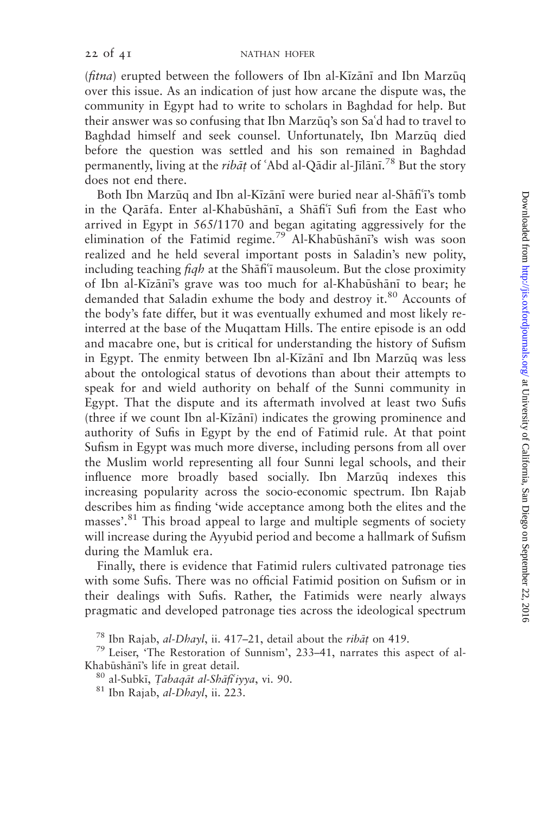$(\text{fitra})$  erupted between the followers of Ibn al-Kizani and Ibn Marzuq over this issue. As an indication of just how arcane the dispute was, the community in Egypt had to write to scholars in Baghdad for help. But their answer was so confusing that Ibn Marzūq's son Sa'd had to travel to Baghdad himself and seek counsel. Unfortunately, Ibn Marzūq died before the question was settled and his son remained in Baghdad permanently, living at the *ribāt* of 'Abd al-Qādir al-Jīlānī.<sup>78</sup> But the story does not end there.

Both Ibn Marzūg and Ibn al-Kīzānī were buried near al-Shāfi<sup>-</sup>i's tomb in the Qarafa. Enter al-Khabūshānī, a Shāfi'i Sufi from the East who arrived in Egypt in 565/1170 and began agitating aggressively for the elimination of the Fatimid regime.<sup>79</sup> Al-Khabushani's wish was soon realized and he held several important posts in Saladin's new polity, including teaching  $f_i$ q at the Sh $\bar{f}$ fiff<sup> $\bar{f}$ </sup> mausoleum. But the close proximity of Ibn al-Kīzānī's grave was too much for al-Khabūshānī to bear; he demanded that Saladin exhume the body and destroy it.<sup>80</sup> Accounts of the body's fate differ, but it was eventually exhumed and most likely reinterred at the base of the Muqattam Hills. The entire episode is an odd and macabre one, but is critical for understanding the history of Sufism in Egypt. The enmity between Ibn al-Kizānī and Ibn Marzūq was less about the ontological status of devotions than about their attempts to speak for and wield authority on behalf of the Sunni community in Egypt. That the dispute and its aftermath involved at least two Sufis (three if we count Ibn al-Kizani) indicates the growing prominence and authority of Sufis in Egypt by the end of Fatimid rule. At that point Sufism in Egypt was much more diverse, including persons from all over the Muslim world representing all four Sunni legal schools, and their influence more broadly based socially. Ibn Marzūq indexes this increasing popularity across the socio-economic spectrum. Ibn Rajab describes him as finding 'wide acceptance among both the elites and the masses'.<sup>81</sup> This broad appeal to large and multiple segments of society will increase during the Ayyubid period and become a hallmark of Sufism during the Mamluk era.

Finally, there is evidence that Fatimid rulers cultivated patronage ties with some Sufis. There was no official Fatimid position on Sufism or in their dealings with Sufis. Rather, the Fatimids were nearly always pragmatic and developed patronage ties across the ideological spectrum

<sup>78</sup> Ibn Rajab, *al-Dhayl*, ii. 417–21, detail about the *ribat* on 419.<br><sup>79</sup> Leiser, 'The Restoration of Sunnism', 233–41, narrates this aspect of al-Khabūshānī's life in great detail.<br><sup>80</sup> al-Subkī, *Tabaqāt al-Shāfi'iyya*, vi. 90.<br><sup>81</sup> Ibn Rajab, *al-Dhayl*, ii. 223.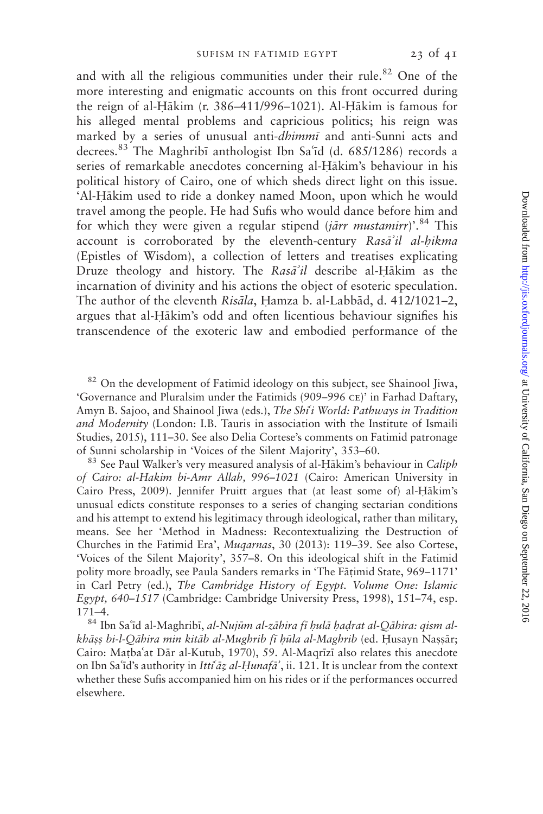and with all the religious communities under their rule.<sup>82</sup> One of the more interesting and enigmatic accounts on this front occurred during the reign of al-Hākim (r. 386–411/996–1021). Al-Hākim is famous for his alleged mental problems and capricious politics; his reign was marked by a series of unusual anti-dhimmi and anti-Sunni acts and decrees.<sup>83</sup> The Maghribī anthologist Ibn Sa'īd (d. 685/1286) records a series of remarkable anecdotes concerning al-Hākim's behaviour in his political history of Cairo, one of which sheds direct light on this issue. 'Al-Hākim used to ride a donkey named Moon, upon which he would travel among the people. He had Sufis who would dance before him and for which they were given a regular stipend (*jārr mustamirr*)'.<sup>84</sup> This account is corroborated by the eleventh-century Rasa'il al-hikma (Epistles of Wisdom), a collection of letters and treatises explicating Druze theology and history. The  $Ras\vec{a}'i\vec{l}$  describe al-Hākim as the incarnation of divinity and his actions the object of esoteric speculation. The author of the eleventh Risāla, Hamza b. al-Labbād, d. 412/1021-2, argues that al-Hākim's odd and often licentious behaviour signifies his transcendence of the exoteric law and embodied performance of the

<sup>82</sup> On the development of Fatimid ideology on this subject, see Shainool Jiwa, 'Governance and Pluralsim under the Fatimids (909–996 ce)' in Farhad Daftary, Amyn B. Sajoo, and Shainool Jiwa (eds.), The Shi'i World: Pathways in Tradition and Modernity (London: I.B. Tauris in association with the Institute of Ismaili Studies, 2015), 111–30. See also Delia Cortese's comments on Fatimid patronage of Sunni scholarship in 'Voices of the Silent Majority', 353–60.<br><sup>83</sup> See Paul Walker's very measured analysis of al-Hākim's behaviour in Caliph

of Cairo: al-Hakim bi-Amr Allah, 996–1021 (Cairo: American University in Cairo Press, 2009). Jennifer Pruitt argues that (at least some of) al-Hākim's unusual edicts constitute responses to a series of changing sectarian conditions and his attempt to extend his legitimacy through ideological, rather than military, means. See her 'Method in Madness: Recontextualizing the Destruction of Churches in the Fatimid Era', Muqarnas, 30 (2013): 119–39. See also Cortese, 'Voices of the Silent Majority', 357–8. On this ideological shift in the Fatimid polity more broadly, see Paula Sanders remarks in 'The Fatimid State, 969–1171' in Carl Petry (ed.), The Cambridge History of Egypt. Volume One: Islamic Egypt, 640–1517 (Cambridge: Cambridge University Press, 1998), 151–74, esp.

171–4.<br><sup>84</sup> Ibn Saʿīd al-Maghribī, *al-Nujūm al-zāhira fī ḥulā ḥaḍrat al-Qāhira: qism al*khāss bi-l-Qāhira min kitāb al-Mughrib fī hūla al-Maghrib (ed. Husayn Nassār; Cairo: Mațba'at Dār al-Kutub, 1970), 59. Al-Maqrīzī also relates this anecdote on Ibn Sa'id's authority in *Itti<sup>ca</sup>z al-Hunafa*<sup>2</sup>, ii. 121. It is unclear from the context whether these Sufis accompanied him on his rides or if the performances occurred elsewhere.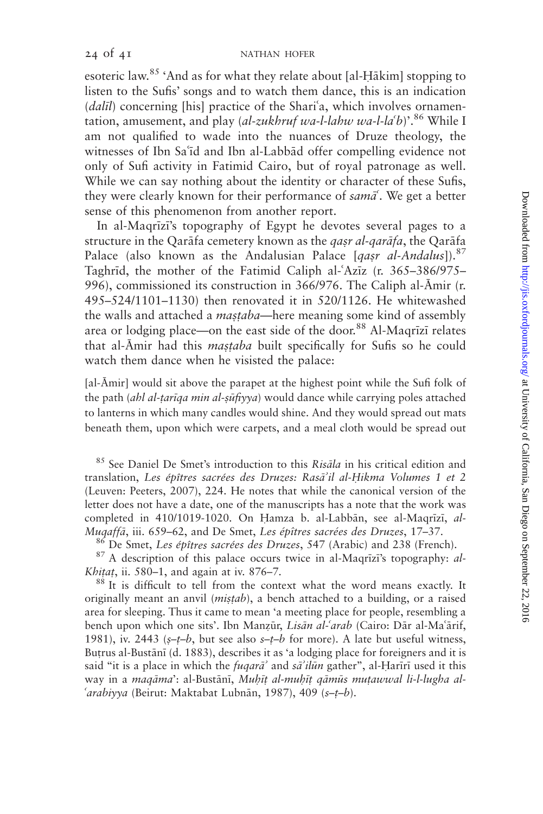esoteric law.<sup>85</sup> 'And as for what they relate about [al-H $\bar{a}$ kim] stopping to listen to the Sufis' songs and to watch them dance, this is an indication  $(dalil)$  concerning [his] practice of the Shari'a, which involves ornamentation, amusement, and play (*al-zukhruf wa-l-lahw wa-l-la'b*)'.<sup>86</sup> While I am not qualified to wade into the nuances of Druze theology, the witnesses of Ibn Sa'id and Ibn al-Labbad offer compelling evidence not only of Sufi activity in Fatimid Cairo, but of royal patronage as well. While we can say nothing about the identity or character of these Sufis, they were clearly known for their performance of  $\text{samā}^c$ . We get a better sense of this phenomenon from another report.

In al-Maqrizi's topography of Egypt he devotes several pages to a structure in the Qarāfa cemetery known as the *qasr al-qarāfa*, the Qarāfa Palace (also known as the Andalusian Palace [qasr al-Andalus]).<sup>87</sup> Taghrid, the mother of the Fatimid Caliph al-'Aziz (r. 365–386/975– 996), commissioned its construction in 366/976. The Caliph al-Āmir (r. 495–524/1101–1130) then renovated it in 520/1126. He whitewashed the walls and attached a *mastaba*—here meaning some kind of assembly area or lodging place—on the east side of the door.<sup>88</sup> Al-Maqrizi relates that al-Āmir had this mastaba built specifically for Sufis so he could watch them dance when he visisted the palace:

[al-Āmir] would sit above the parapet at the highest point while the Sufi folk of the path (ahl al-țarīqa min al-șūfiyya) would dance while carrying poles attached to lanterns in which many candles would shine. And they would spread out mats beneath them, upon which were carpets, and a meal cloth would be spread out

 $85$  See Daniel De Smet's introduction to this Risala in his critical edition and translation, Les épîtres sacrées des Druzes: Rasā'il al-Hikma Volumes 1 et 2 (Leuven: Peeters, 2007), 224. He notes that while the canonical version of the letter does not have a date, one of the manuscripts has a note that the work was completed in 410/1019-1020. On Hamza b. al-Labbān, see al-Maqrīzī, al-

*Muqaffā*, iii. 659–62, and De Smet, *Les épîtres sacrées des Druzes*, 17–37.<br><sup>86</sup> De Smet, *Les épîtres sacrées des Druzes*, 547 (Arabic) and 238 (French).<br><sup>87</sup> A description of this palace occurs twice in al-Maqrīzī's to *Khitat*, ii. 580–1, and again at iv. 876–7.  $88$  It is difficult to tell from the context what the word means exactly. It

originally meant an anvil  $(mistab)$ , a bench attached to a building, or a raised area for sleeping. Thus it came to mean 'a meeting place for people, resembling a bench upon which one sits'. Ibn Manzūr, *Lisān al-'arab* (Cairo: Dār al-Ma'ārif, 1981), iv. 2443 ( $s-t-b$ , but see also  $s-t-b$  for more). A late but useful witness, Butrus al-Bustānī (d. 1883), describes it as 'a lodging place for foreigners and it is said "it is a place in which the *fuqara*' and sa'ilun gather", al-Hariri used it this way in a maqāma': al-Bustānī, Muhīt al-muhīt qāmūs mutawwal li-l-lugha al-'arabiyya (Beirut: Maktabat Lubnān, 1987), 409 ( $s-t-b$ ).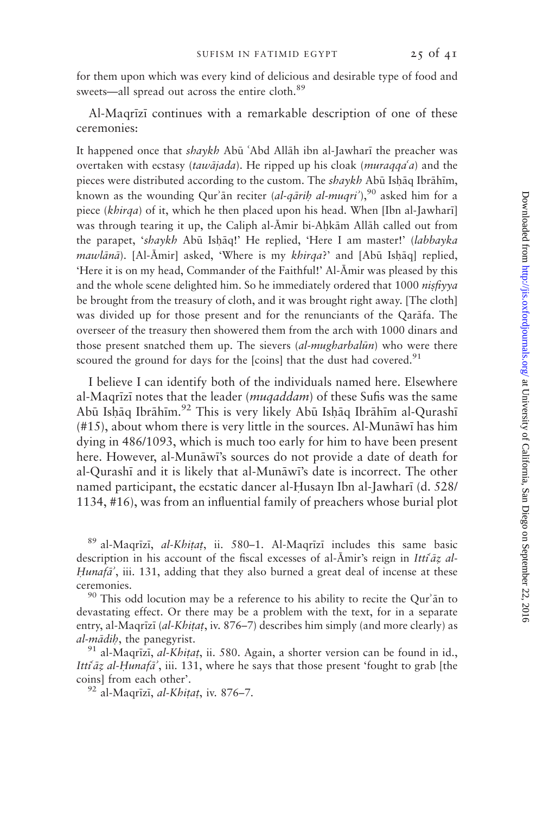for them upon which was every kind of delicious and desirable type of food and sweets—all spread out across the entire cloth.<sup>89</sup>

Al-Maqrīzī continues with a remarkable description of one of these ceremonies:

It happened once that shaykh Abū 'Abd Allāh ibn al-Jawharī the preacher was overtaken with ecstasy (tawajada). He ripped up his cloak (muraqqa'a) and the pieces were distributed according to the custom. The shaykh Abū Ishāq Ibrāhīm, known as the wounding Qur'an reciter (al-qarih al-muqri'),<sup>90</sup> asked him for a piece (khirqa) of it, which he then placed upon his head. When [Ibn al-Jawhari] was through tearing it up, the Caliph al-Āmir bi-Aḥkām Allāh called out from the parapet, 'shaykh Abū Ishāq!' He replied, 'Here I am master!' (labbayka mawlānā). [Al-Āmir] asked, 'Where is my khirqa?' and [Abū Ishāq] replied, 'Here it is on my head, Commander of the Faithful!' Al-Āmir was pleased by this and the whole scene delighted him. So he immediately ordered that 1000 nisfiyya be brought from the treasury of cloth, and it was brought right away. [The cloth] was divided up for those present and for the renunciants of the Qarafa. The overseer of the treasury then showered them from the arch with 1000 dinars and those present snatched them up. The sievers (al-mugharbalūn) who were there scoured the ground for days for the [coins] that the dust had covered.<sup>91</sup>

I believe I can identify both of the individuals named here. Elsewhere al-Maqrizi notes that the leader (muqaddam) of these Sufis was the same Abū Ishāq Ibrāhīm.<sup>92</sup> This is very likely Abū Ishāq Ibrāhīm al-Qurashī  $(#15)$ , about whom there is very little in the sources. Al-Munāwī has him dying in 486/1093, which is much too early for him to have been present here. However, al-Munāwī's sources do not provide a date of death for al-Qurashi and it is likely that al-Munāwi's date is incorrect. The other named participant, the ecstatic dancer al-Husayn Ibn al-Jawharī (d. 528/ 1134, #16), was from an influential family of preachers whose burial plot

 $89$  al-Maqrīzī, *al-Khitat*, ii. 580–1. Al-Maqrīzī includes this same basic description in his account of the fiscal excesses of al- $\bar{A}$ mir's reign in Itti $\bar{a}z$  al-Hunafa', iii. 131, adding that they also burned a great deal of incense at these ceremonies.<br><sup>90</sup> This odd locution may be a reference to his ability to recite the Qur'an to

devastating effect. Or there may be a problem with the text, for in a separate entry, al-Maqrīzī (al-Khitat, iv. 876–7) describes him simply (and more clearly) as al-mādib, the panegyrist.<br><sup>91</sup> al-Maqrīzī, *al-Khitat*, ii. 580. Again, a shorter version can be found in id.,

Itti $\tilde{a}z$  al-Hunaf $\tilde{a}$ , iii. 131, where he says that those present 'fought to grab [the coins] from each other'.<br><sup>92</sup> al-Maqrīzī, *al-Khitat*, iv. 876–7.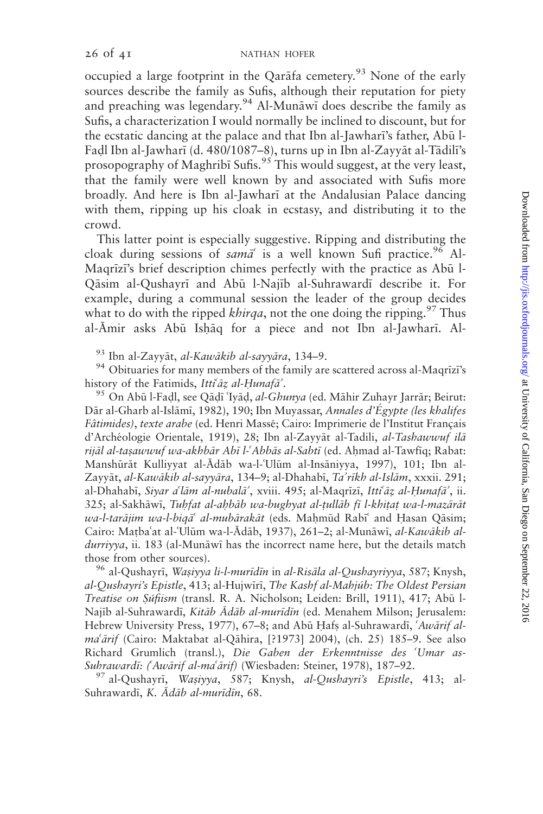occupied a large footprint in the Qarafa cemetery.<sup>93</sup> None of the early sources describe the family as Sufis, although their reputation for piety and preaching was legendary.<sup>94</sup> Al-Mun $\bar{a}$  does describe the family as Sufis, a characterization I would normally be inclined to discount, but for the ecstatic dancing at the palace and that Ibn al-Jawhari's father, Abū l-Fadl Ibn al-Jawharī (d. 480/1087–8), turns up in Ibn al-Zayyāt al-Tādilī's prosopography of Maghribi Sufis.<sup>95</sup> This would suggest, at the very least, that the family were well known by and associated with Sufis more broadly. And here is Ibn al-Jawhari at the Andalusian Palace dancing with them, ripping up his cloak in ecstasy, and distributing it to the crowd.

This latter point is especially suggestive. Ripping and distributing the cloak during sessions of sama<sup>c</sup> is a well known Sufi practice.<sup>96</sup> Al-Magrīzī's brief description chimes perfectly with the practice as Abū l-Qāsim al-Qushayrī and Abū l-Najīb al-Suhrawardī describe it. For example, during a communal session the leader of the group decides what to do with the ripped *khirqa*, not the one doing the ripping.<sup>97</sup> Thus al-Āmir asks Abū Ishāq for a piece and not Ibn al-Jawharī. Al-

<sup>93</sup> Ibn al-Zayyāt, *al-Kawākib al-sayyāra*, 134–9.<br><sup>94</sup> Obituaries for many members of the family are scattered across al-Maqrīzī's history of the Fatimids, Itti<sup>c</sup>āz al-Ḥunafā<sup>'</sup>.<br><sup>95</sup> On Abū l-Faḍl, see Qāḍī ʿIyāḍ, al-Ghunya (ed. Māhir Zuhayr Jarrār; Beirut:

Dār al-Gharb al-Islāmī, 1982), 190; Ibn Muyassar, Annales d'Égypte (les khalifes Fâtimides), texte arabe (ed. Henri Massé; Cairo: Imprimerie de l'Institut Français d'Archéologie Orientale, 1919), 28; Ibn al-Zayyāt al-Tadili, al-Tashawwuf ilā rijāl al-tasawwuf wa-akhbār Abī l-ʿAbbās al-Sabtī (ed. Ahmad al-Tawfīq; Rabat: Manshūrāt Kulliyyat al-Ādāb wa-l-'Ulūm al-Insāniyya, 1997), 101; Ibn al-Zayyāt, al-Kawākib al-sayyāra, 134–9; al-Dhahabī, Ta'rīkh al-Islām, xxxii. 291; al-Dhahabī, Siyar a'lām al-nubalā', xviii. 495; al-Maqrīzī, Itti<sup>c</sup>āz al-Hunafā', ii. 325; al-Sakhāwī, Tuhfat al-ahbāb wa-bughyat al-țullāb fī l-khițaț wa-l-mazārāt wa-l-tarājim wa-l-biqā<sup>c</sup> al-mubārakāt (eds. Mahmūd Rabī<sup>c</sup> and Hasan Qāsim; Cairo: Mațba'at al-'Ulūm wa-l-Ādāb, 1937), 261–2; al-Munāwī, al-Kawākib aldurriyya, ii. 183 (al-Munāwī has the incorrect name here, but the details match

those from other sources).<br><sup>96</sup> al-Qushayrī, *Wasiyya li-l-murīdīn* in *al-Risāla al-Qushayriyya*, 587; Knysh, al-Qushayri's Epistle, 413; al-Hujwīrī, The Kashf al-Mahjúb: The Oldest Persian Treatise on Súfiism (transl. R. A. Nicholson; Leiden: Brill, 1911), 417; Abū l-Najīb al-Suhrawardī, Kitāb Ādāb al-murīdīn (ed. Menahem Milson; Jerusalem: Hebrew University Press, 1977), 67–8; and Abū Hafs al-Suhrawardī, 'Awārif al $ma'$  $ārif$  (Cairo: Maktabat al-Q $\bar{a}$ hira, [?1973] 2004), (ch. 25) 185–9. See also Richard Grumlich (transl.), Die Gaben der Erkenntnisse des 'Umar as-Suhrawardī: (Awārif al-maʿārif) (Wiesbaden: Steiner, 1978), 187–92.<br><sup>97</sup> al-Qushayrī, *Waṣiyya, 587; Knysh, al-Qushayri's Epistle*, 413; al-

Suhrawardī, K. Ādāb al-murīdīn, 68.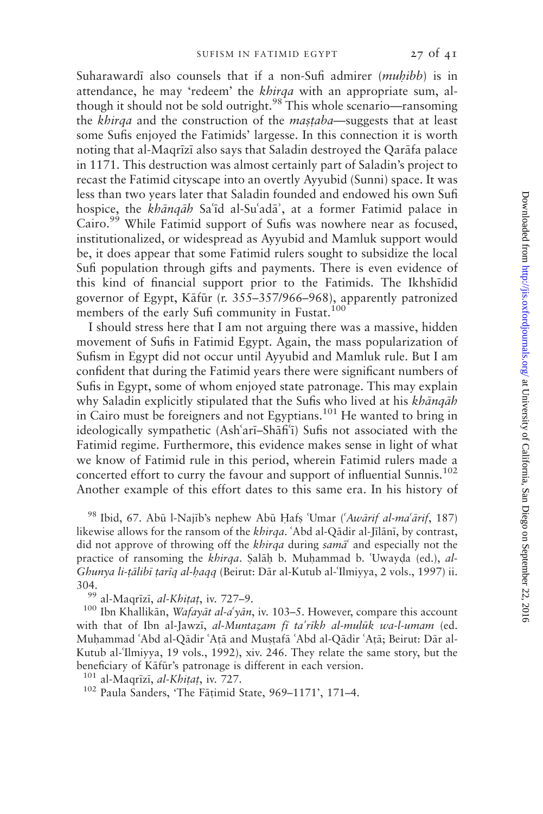Suharawardī also counsels that if a non-Sufi admirer (*muhibb*) is in attendance, he may 'redeem' the *khirqa* with an appropriate sum, although it should not be sold outright.<sup>98</sup> This whole scenario—ransoming the khirqa and the construction of the *mastaba*—suggests that at least some Sufis enjoyed the Fatimids' largesse. In this connection it is worth noting that al-Maqrīzī also says that Saladin destroyed the Qarāfa palace in 1171. This destruction was almost certainly part of Saladin's project to recast the Fatimid cityscape into an overtly Ayyubid (Sunni) space. It was less than two years later that Saladin founded and endowed his own Sufi hospice, the khānqāh Sa'id al-Su'adā', at a former Fatimid palace in Cairo.<sup>99</sup> While Fatimid support of Sufis was nowhere near as focused, institutionalized, or widespread as Ayyubid and Mamluk support would be, it does appear that some Fatimid rulers sought to subsidize the local Sufi population through gifts and payments. There is even evidence of this kind of financial support prior to the Fatimids. The Ikhshidid governor of Egypt, Kāfūr (r. 355–357/966–968), apparently patronized members of the early Sufi community in Fustat.<sup>100</sup>

I should stress here that I am not arguing there was a massive, hidden movement of Sufis in Fatimid Egypt. Again, the mass popularization of Sufism in Egypt did not occur until Ayyubid and Mamluk rule. But I am confident that during the Fatimid years there were significant numbers of Sufis in Egypt, some of whom enjoyed state patronage. This may explain why Saladin explicitly stipulated that the Sufis who lived at his khāngāh in Cairo must be foreigners and not Egyptians.<sup>101</sup> He wanted to bring in ideologically sympathetic (Ash'arī-Shāfi'ī) Sufis not associated with the Fatimid regime. Furthermore, this evidence makes sense in light of what we know of Fatimid rule in this period, wherein Fatimid rulers made a concerted effort to curry the favour and support of influential Sunnis.<sup>102</sup> Another example of this effort dates to this same era. In his history of

<sup>98</sup> Ibid, 67. Abū l-Najīb's nephew Abū Hafs 'Umar ('Awārif al-ma'ārif, 187) likewise allows for the ransom of the khirqa. 'Abd al-Qādir al-Jīlānī, by contrast, did not approve of throwing off the *khirqa* during sama<sup> $\epsilon$ </sup> and especially not the practice of ransoming the khirqa. Salāh b. Muhammad b. 'Uwayda (ed.), al-Ghunya li-tālibī tarīg al-hagq (Beirut: Dār al-Kutub al-Ilmiyya, 2 vols., 1997) ii. 304.<br><sup>99</sup> al-Maqrīzī, *al-Khiṭaṭ*, iv. 727–9.<br><sup>100</sup> Ibn Khallikān, *Wafayāt al-aʿyān*, iv. 103–5. However, compare this account

with that of Ibn al-Jawzi, al-Muntazam fi ta'rīkh al-mulūk wa-l-umam (ed. Muhammad 'Abd al-Qādir 'Atā and Mustafā 'Abd al-Qādir 'Atā; Beirut: Dār al-Kutub al-Ilmiyya, 19 vols., 1992), xiv. 246. They relate the same story, but the beneficiary of Kāfūr's patronage is different in each version.

<sup>101</sup> al-Maqrīzī, *al-Khitat*, iv. 727.<br><sup>102</sup> Paula Sanders, 'The Fātimid State, 969–1171', 171–4.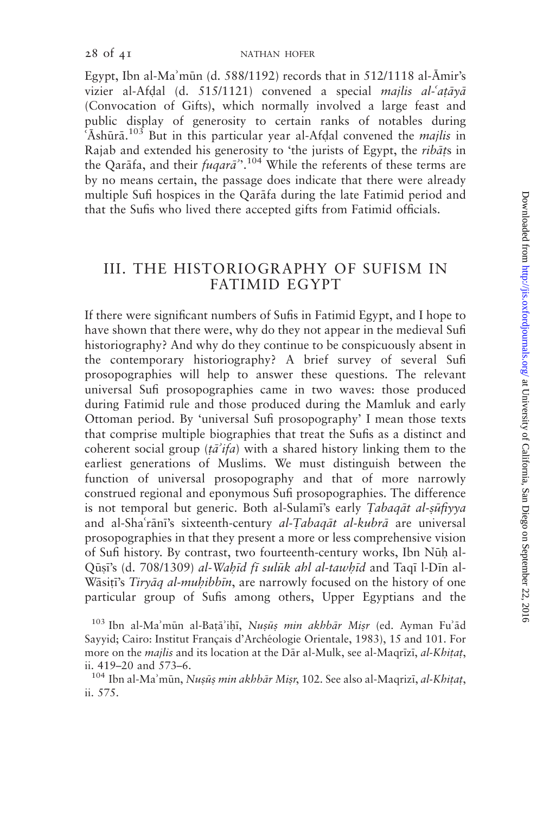Egypt, Ibn al-Ma'mūn (d. 588/1192) records that in 512/1118 al- $\bar{A}$ mir's vizier al-Afdal (d. 515/1121) convened a special majlis al- $at\bar{a}$ y $\bar{a}$ (Convocation of Gifts), which normally involved a large feast and public display of generosity to certain ranks of notables during 'Ashūrā.<sup>103</sup> But in this particular year al-Afdal convened the *majlis* in Rajab and extended his generosity to 'the jurists of Egypt, the *ribats* in the Qarāfa, and their *fuqarā*".<sup>104</sup> While the referents of these terms are by no means certain, the passage does indicate that there were already multiple Sufi hospices in the Qarafa during the late Fatimid period and that the Sufis who lived there accepted gifts from Fatimid officials.

## III. THE HISTORIOGRAPHY OF SUFISM IN FATIMID EGYPT

If there were significant numbers of Sufis in Fatimid Egypt, and I hope to have shown that there were, why do they not appear in the medieval Sufi historiography? And why do they continue to be conspicuously absent in the contemporary historiography? A brief survey of several Sufi prosopographies will help to answer these questions. The relevant universal Sufi prosopographies came in two waves: those produced during Fatimid rule and those produced during the Mamluk and early Ottoman period. By 'universal Sufi prosopography' I mean those texts that comprise multiple biographies that treat the Sufis as a distinct and coherent social group ( $t\bar{a}'$ ifa) with a shared history linking them to the earliest generations of Muslims. We must distinguish between the function of universal prosopography and that of more narrowly construed regional and eponymous Sufi prosopographies. The difference is not temporal but generic. Both al-Sulami's early Tabaqat al-suftyya and al-Sha'rānī's sixteenth-century al-Tabaqāt al-kubrā are universal prosopographies in that they present a more or less comprehensive vision of Sufi history. By contrast, two fourteenth-century works, Ibn Nūh al-Qūși's (d. 708/1309) al-Wahīd fī sulūk ahl al-tawhīd and Taqī l-Dīn al-Wasiti's Tiryaq al-muhibbin, are narrowly focused on the history of one particular group of Sufis among others, Upper Egyptians and the

 $103$  Ibn al-Ma'mūn al-Batā'ihī, Nusūs min akhbār Misr (ed. Ayman Fu'ād Sayyid; Cairo: Institut Français d'Archéologie Orientale, 1983), 15 and 101. For more on the *majlis* and its location at the Dār al-Mulk, see al-Maqrīzī, *al-Khițaț*, ii. 419–20 and 573–6.

<sup>&</sup>lt;sup>104</sup> Ibn al-Ma'mūn, Nușuș min akhbār Misr, 102. See also al-Maqrizi, al-Khitat, ii. 575.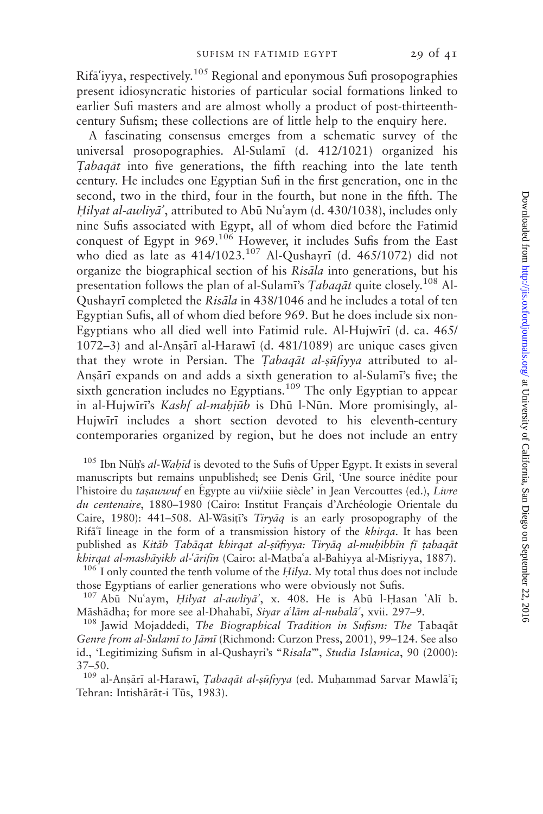$Rifa'iyya$ , respectively.<sup>105</sup> Regional and eponymous Sufi prosopographies present idiosyncratic histories of particular social formations linked to earlier Sufi masters and are almost wholly a product of post-thirteenthcentury Sufism; these collections are of little help to the enquiry here.

A fascinating consensus emerges from a schematic survey of the universal prosopographies. Al-Sulam; (d. 412/1021) organized his Tabagat into five generations, the fifth reaching into the late tenth century. He includes one Egyptian Sufi in the first generation, one in the second, two in the third, four in the fourth, but none in the fifth. The Hilyat al-awliya<sup>2</sup>, attributed to Abū Nu'aym (d. 430/1038), includes only nine Sufis associated with Egypt, all of whom died before the Fatimid conquest of Egypt in 969.<sup>106</sup> However, it includes Sufis from the East who died as late as 414/1023.<sup>107</sup> Al-Qushayrī (d. 465/1072) did not organize the biographical section of his Risāla into generations, but his presentation follows the plan of al-Sulami's Tabag $\bar{a}t$  quite closely.<sup>108</sup> Al-Qushayrī completed the Risāla in 438/1046 and he includes a total of ten Egyptian Sufis, all of whom died before 969. But he does include six non-Egyptians who all died well into Fatimid rule. Al-Hujwiri (d. ca. 465/  $1072-3$ ) and al-Ansārī al-Harawī (d. 481/1089) are unique cases given that they wrote in Persian. The Tabaqat al-suftyya attributed to al-Ansārī expands on and adds a sixth generation to al-Sulamī's five; the sixth generation includes no Egyptians.<sup>109</sup> The only Egyptian to appear in al-Hujwīrī's Kashf al-mahjūb is Dhū l-Nūn. More promisingly, al-Hujwīrī includes a short section devoted to his eleventh-century contemporaries organized by region, but he does not include an entry

 $105$  Ibn Nūh's al-Wahid is devoted to the Sufis of Upper Egypt. It exists in several manuscripts but remains unpublished; see Denis Gril, 'Une source inédite pour l'histoire du *tasawwuf* en Égypte au vii/xiiie siècle' in Jean Vercouttes (ed.), Livre du centenaire, 1880–1980 (Cairo: Institut Français d'Archéologie Orientale du Caire, 1980): 441-508. Al-Wasiti's Tiryaq is an early prosopography of the  $Rif\tilde{a}^{\dagger}$  lineage in the form of a transmission history of the *khirqa*. It has been published as Kitāb Tabāqat khirqat al-sūfiyya: Tiryāq al-muḥibbīn fī țabaqāt *khirqat al-mashāyikh al-* $\tilde{a}$ *rifīn* (Cairo: al-Matba<sup>6</sup>a al-Bahiyya al-Misriyya, 1887). <sup>106</sup> I only counted the tenth volume of the *Hilya*. My total thus does not include

those Egyptians of earlier generations who were obviously not Sufis.

 $107$  Abū Nu'aym, Hilyat al-awliya', x. 408. He is Abū l-Hasan 'Alī b. Māshādha; for more see al-Dhahabī, Siyar a<sup>o</sup>lām al-nubalā<sup>2</sup>, xvii. 297–9.<br><sup>108</sup> Jawid Mojaddedi, *The Biographical Tradition in Sufism: The* Tabaqāt

Genre from al-Sulamī to Jāmī (Richmond: Curzon Press, 2001), 99-124. See also id., 'Legitimizing Sufism in al-Qushayri's "Risala"', Studia Islamica, 90 (2000): 37–50.

 $109$  al-Ansārī al-Harawī, *Tabaqāt al-ṣūfiyya* (ed. Muḥammad Sarvar Mawlā'ī; Tehran: Intishārāt-i Tūs, 1983).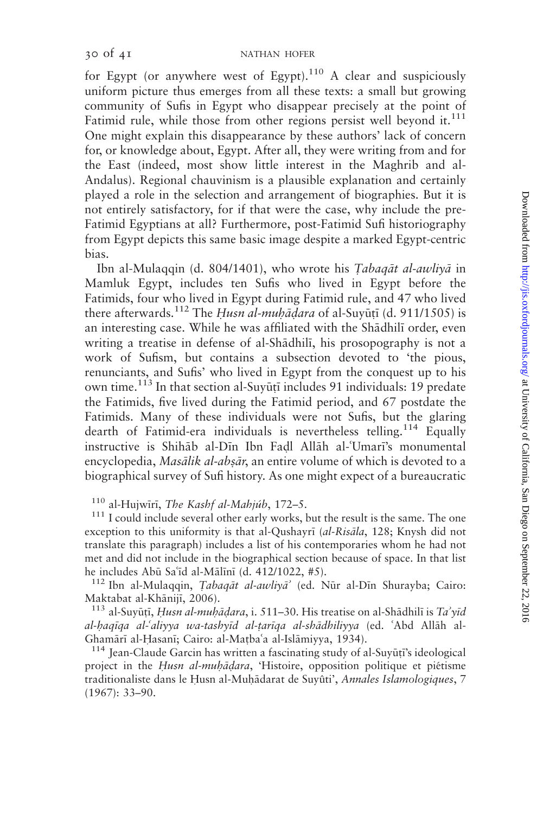for Egypt (or anywhere west of Egypt).<sup>110</sup> A clear and suspiciously uniform picture thus emerges from all these texts: a small but growing community of Sufis in Egypt who disappear precisely at the point of Fatimid rule, while those from other regions persist well beyond it.<sup>111</sup> One might explain this disappearance by these authors' lack of concern for, or knowledge about, Egypt. After all, they were writing from and for the East (indeed, most show little interest in the Maghrib and al-Andalus). Regional chauvinism is a plausible explanation and certainly played a role in the selection and arrangement of biographies. But it is not entirely satisfactory, for if that were the case, why include the pre-Fatimid Egyptians at all? Furthermore, post-Fatimid Sufi historiography from Egypt depicts this same basic image despite a marked Egypt-centric bias.

Ibn al-Mulaqqin (d. 804/1401), who wrote his Tabaqāt al-awliyā in Mamluk Egypt, includes ten Sufis who lived in Egypt before the Fatimids, four who lived in Egypt during Fatimid rule, and 47 who lived there afterwards.<sup>112</sup> The Husn al-muhādara of al-Suyūtī (d. 911/1505) is an interesting case. While he was affiliated with the Shadhili order, even writing a treatise in defense of al-Shādhilī, his prosopography is not a work of Sufism, but contains a subsection devoted to 'the pious, renunciants, and Sufis' who lived in Egypt from the conquest up to his own time.<sup>113</sup> In that section al-Suyūți includes 91 individuals: 19 predate the Fatimids, five lived during the Fatimid period, and 67 postdate the Fatimids. Many of these individuals were not Sufis, but the glaring dearth of Fatimid-era individuals is nevertheless telling.<sup>114</sup> Equally instructive is Shihab al-Dīn Ibn Fadl Allah al-'Umarī's monumental encyclopedia, Masālik al-absār, an entire volume of which is devoted to a biographical survey of Sufi history. As one might expect of a bureaucratic

<sup>110</sup> al-Hujwīrī, *The Kashf al-Mahjúb*, 172–5.<br><sup>111</sup> I could include several other early works, but the result is the same. The one exception to this uniformity is that al-Qushayr $\bar{a}$  (*al-Risala*, 128; Knysh did not translate this paragraph) includes a list of his contemporaries whom he had not met and did not include in the biographical section because of space. In that list he includes Abū Sa<sup>c</sup>id al-Mālīnī (d. 412/1022, #5).<br><sup>112</sup> Ibn al-Mulaqqin, *Tabaqāt al-awliyā* (ed. Nūr al-Dīn Shurayba; Cairo:

Maktabat al-Khānijī, 2006).<br><sup>113</sup> al-Suyūṭī, *Husn al-muḥāḍara*, i. 511–30. His treatise on al-Shādhilī is *Ta*'yīd

al-haqiqa al-'aliyya wa-tashyid al-tariqa al-shādhiliyya (ed. 'Abd Allāh al-Ghamārī al-Ḥasanī; Cairo: al-Maṭbaʿa al-Islāmiyya, 1934).<br><sup>114</sup> Jean-Claude Garcin has written a fascinating study of al-Suyūṭī's ideological

project in the Husn al-muhādara, 'Histoire, opposition politique et piétisme traditionaliste dans le Husn al-Muhādarat de Suyûti', Annales Islamologiques, 7 (1967): 33–90.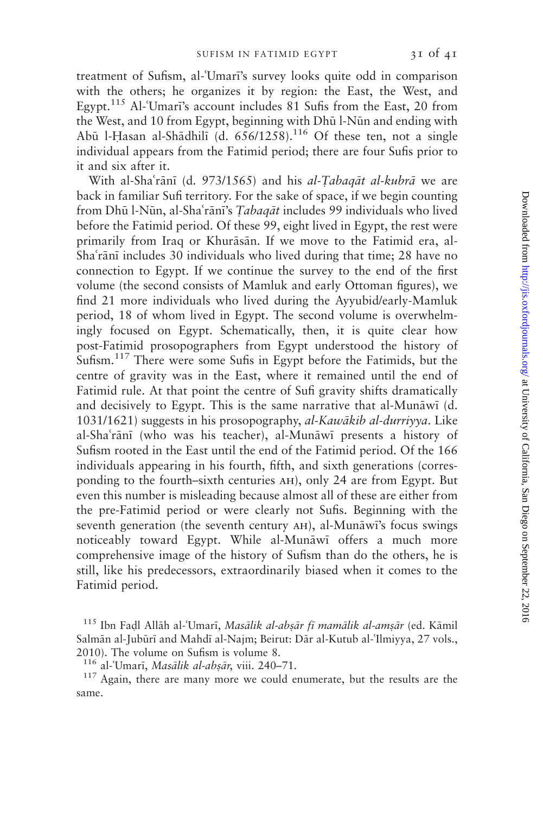treatment of Sufism, al-'Umari's survey looks quite odd in comparison with the others; he organizes it by region: the East, the West, and Egypt.<sup>115</sup> Al-'Umari's account includes 81 Sufis from the East, 20 from the West, and 10 from Egypt, beginning with Dhū l-Nūn and ending with Abū l-Hasan al-Shādhilī (d.  $656/1258$ ).<sup>116</sup> Of these ten, not a single individual appears from the Fatimid period; there are four Sufis prior to it and six after it.

With al-Sha'rani (d. 973/1565) and his al-Tabagat al-kubra we are back in familiar Sufi territory. For the sake of space, if we begin counting from Dhū l-Nūn, al-Sha'rānī's Tabaqāt includes 99 individuals who lived before the Fatimid period. Of these 99, eight lived in Egypt, the rest were primarily from Iraq or Khurāsān. If we move to the Fatimid era, al-Sha'rānī includes 30 individuals who lived during that time; 28 have no connection to Egypt. If we continue the survey to the end of the first volume (the second consists of Mamluk and early Ottoman figures), we find 21 more individuals who lived during the Ayyubid/early-Mamluk period, 18 of whom lived in Egypt. The second volume is overwhelmingly focused on Egypt. Schematically, then, it is quite clear how post-Fatimid prosopographers from Egypt understood the history of Sufism.<sup>117</sup> There were some Sufis in Egypt before the Fatimids, but the centre of gravity was in the East, where it remained until the end of Fatimid rule. At that point the centre of Sufi gravity shifts dramatically and decisively to Egypt. This is the same narrative that al-Munāwī (d. 1031/1621) suggests in his prosopography, al-Kawākib al-durriyya. Like al-Sha'rānī (who was his teacher), al-Munāwī presents a history of Sufism rooted in the East until the end of the Fatimid period. Of the 166 individuals appearing in his fourth, fifth, and sixth generations (corresponding to the fourth–sixth centuries ah), only 24 are from Egypt. But even this number is misleading because almost all of these are either from the pre-Fatimid period or were clearly not Sufis. Beginning with the seventh generation (the seventh century AH), al-Munāwi's focus swings noticeably toward Egypt. While al-Munāwī offers a much more comprehensive image of the history of Sufism than do the others, he is still, like his predecessors, extraordinarily biased when it comes to the Fatimid period.

 $115$  Ibn Fadl Allāh al-'Umarī, Masālik al-absār fī mamālik al-amsār (ed. Kāmil Salmān al-Jubūrī and Mahdī al-Najm; Beirut: Dār al-Kutub al-'Ilmiyya, 27 vols., 2010). The volume on Sufism is volume 8.

<sup>&</sup>lt;sup>116</sup> al-Umari, *Masālik al-absār*, viii. 240–71.<br><sup>117</sup> Again, there are many more we could enumerate, but the results are the same.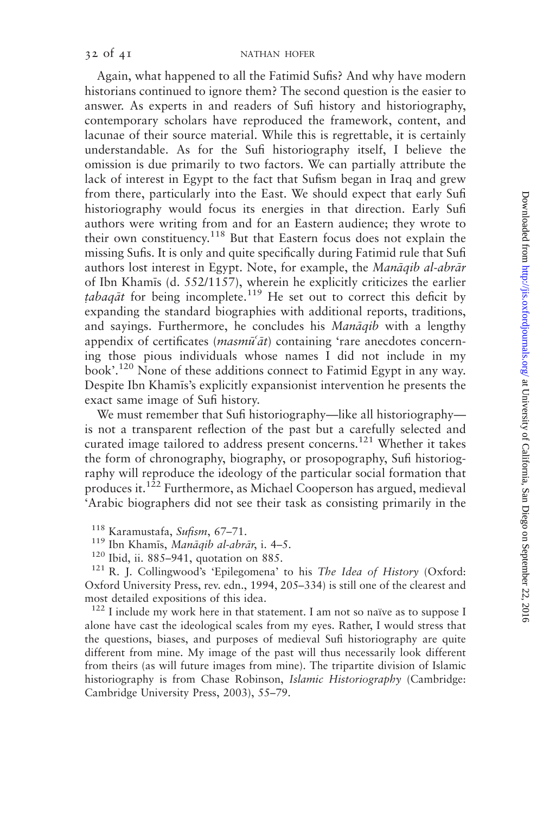Again, what happened to all the Fatimid Sufis? And why have modern historians continued to ignore them? The second question is the easier to answer. As experts in and readers of Sufi history and historiography, contemporary scholars have reproduced the framework, content, and lacunae of their source material. While this is regrettable, it is certainly understandable. As for the Sufi historiography itself, I believe the omission is due primarily to two factors. We can partially attribute the lack of interest in Egypt to the fact that Sufism began in Iraq and grew from there, particularly into the East. We should expect that early Sufi historiography would focus its energies in that direction. Early Sufi authors were writing from and for an Eastern audience; they wrote to their own constituency.<sup>118</sup> But that Eastern focus does not explain the missing Sufis. It is only and quite specifically during Fatimid rule that Sufi authors lost interest in Egypt. Note, for example, the Manāqib al-abrār of Ibn Khamis (d. 552/1157), wherein he explicitly criticizes the earlier tabagat for being incomplete.<sup>119</sup> He set out to correct this deficit by expanding the standard biographies with additional reports, traditions, and sayings. Furthermore, he concludes his Manāqib with a lengthy appendix of certificates (*masmu<sup>-</sup>at*) containing 'rare anecdotes concerning those pious individuals whose names I did not include in my book'.<sup>120</sup> None of these additions connect to Fatimid Egypt in any way. Despite Ibn Khamis's explicitly expansionist intervention he presents the exact same image of Sufi history.

We must remember that Sufi historiography—like all historiography is not a transparent reflection of the past but a carefully selected and curated image tailored to address present concerns.<sup>121</sup> Whether it takes the form of chronography, biography, or prosopography, Sufi historiography will reproduce the ideology of the particular social formation that produces it.122 Furthermore, as Michael Cooperson has argued, medieval 'Arabic biographers did not see their task as consisting primarily in the

- 
- 

<sup>118</sup> Karamustafa, *Sufism*, 67–71.<br><sup>119</sup> Ibn Khamīs, *Manāqib al-abrār*, i. 4–5.<br><sup>120</sup> Ibid, ii. 885–941, quotation on 885. <sup>121</sup> R. J. Collingwood's 'Epilegomena' to his *The Idea of History* (Oxford: Oxford University Press, rev. edn., 1994, 205–334) is still one of the clearest and most detailed expositions of this idea.

 $122$  I include my work here in that statement. I am not so naïve as to suppose I alone have cast the ideological scales from my eyes. Rather, I would stress that the questions, biases, and purposes of medieval Sufi historiography are quite different from mine. My image of the past will thus necessarily look different from theirs (as will future images from mine). The tripartite division of Islamic historiography is from Chase Robinson, Islamic Historiography (Cambridge: Cambridge University Press, 2003), 55–79.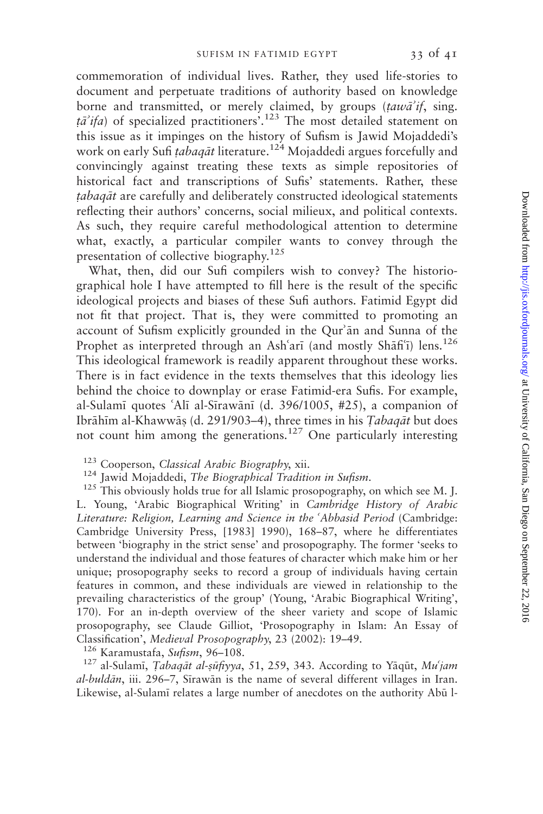commemoration of individual lives. Rather, they used life-stories to document and perpetuate traditions of authority based on knowledge borne and transmitted, or merely claimed, by groups  $(taw\vec{a}^{\prime}t)$ , sing.  $t\vec{a}$  *ifa*) of specialized practitioners<sup>5</sup>.<sup>123</sup> The most detailed statement on this issue as it impinges on the history of Sufism is Jawid Mojaddedi's work on early Sufi tabaqāt literature.<sup>124</sup> Mojaddedi argues forcefully and convincingly against treating these texts as simple repositories of historical fact and transcriptions of Sufis' statements. Rather, these tabaqāt are carefully and deliberately constructed ideological statements reflecting their authors' concerns, social milieux, and political contexts. As such, they require careful methodological attention to determine what, exactly, a particular compiler wants to convey through the presentation of collective biography.<sup>125</sup>

What, then, did our Sufi compilers wish to convey? The historiographical hole I have attempted to fill here is the result of the specific ideological projects and biases of these Sufi authors. Fatimid Egypt did not fit that project. That is, they were committed to promoting an account of Sufism explicitly grounded in the Qur'an and Sunna of the Prophet as interpreted through an Ash'ari (and mostly Sh $\tilde{a}$ fi) lens.<sup>126</sup> This ideological framework is readily apparent throughout these works. There is in fact evidence in the texts themselves that this ideology lies behind the choice to downplay or erase Fatimid-era Sufis. For example, al-Sulamī quotes 'Alī al-Sīrawānī (d. 396/1005,  $\#25$ ), a companion of Ibrāhīm al-Khawwās (d. 291/903–4), three times in his Tabaqāt but does not count him among the generations.<sup>127</sup> One particularly interesting

<sup>123</sup> Cooperson, *Classical Arabic Biography*, xii.<br><sup>124</sup> Jawid Mojaddedi, *The Biographical Tradition in Sufism*.<br><sup>125</sup> This obviously holds true for all Islamic prosopography, on which see M. J. L. Young, 'Arabic Biographical Writing' in Cambridge History of Arabic Literature: Religion, Learning and Science in the 'Abbasid Period (Cambridge: Cambridge University Press, [1983] 1990), 168–87, where he differentiates between 'biography in the strict sense' and prosopography. The former 'seeks to understand the individual and those features of character which make him or her unique; prosopography seeks to record a group of individuals having certain features in common, and these individuals are viewed in relationship to the prevailing characteristics of the group' (Young, 'Arabic Biographical Writing', 170). For an in-depth overview of the sheer variety and scope of Islamic prosopography, see Claude Gilliot, 'Prosopography in Islam: An Essay of Classification', Medieval Prosopography, 23 (2002): 19–49.<br><sup>126</sup> Karamustafa, *Sufism*, 96–108.<br><sup>127</sup> al-Sulamī, *Tabaqāt al-ṣūfiyya*, 51, 259, 343. According to Yāqūt, *Mu'jam* 

 $al-buld\bar{a}n$ , iii. 296–7, Sirawān is the name of several different villages in Iran. Likewise, al-Sulami relates a large number of anecdotes on the authority Abū l-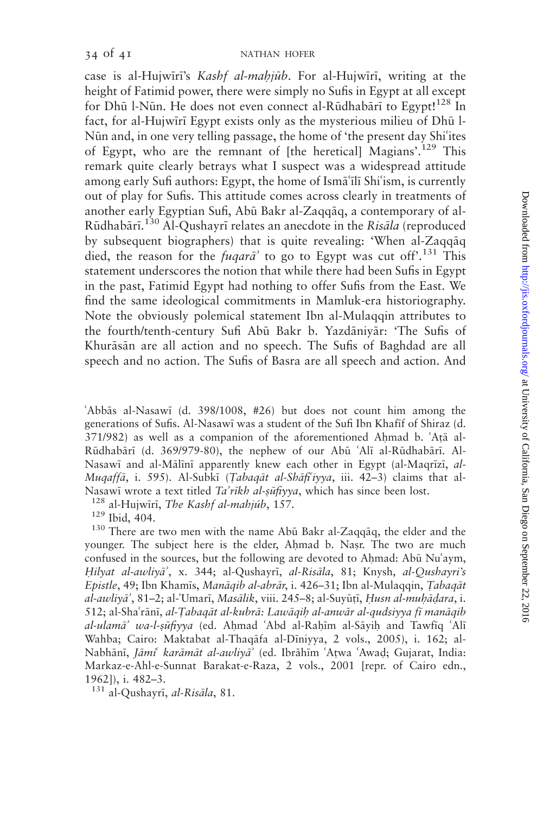case is al-Hujwiri's Kashf al-mahjūb. For al-Hujwiri, writing at the height of Fatimid power, there were simply no Sufis in Egypt at all except for Dhū l-Nūn. He does not even connect al-Rūdhabārī to Egypt!<sup>128</sup> In fact, for al-Hujwiri Egypt exists only as the mysterious milieu of Dhū l-Nūn and, in one very telling passage, the home of 'the present day Shi'ites of Egypt, who are the remnant of [the heretical] Magians'.<sup>129</sup> This remark quite clearly betrays what I suspect was a widespread attitude among early Sufi authors: Egypt, the home of Isma il Shi'ism, is currently out of play for Sufis. This attitude comes across clearly in treatments of another early Egyptian Sufi, Abū Bakr al-Zaqqāq, a contemporary of al-Rūdhabārī.<sup>130</sup> Al-Qushayrī relates an anecdote in the Risāla (reproduced by subsequent biographers) that is quite revealing: 'When al-Zaqq $a\bar{a}q$ died, the reason for the  $fuga\tau\vec{a}$  to go to Egypt was cut off.<sup>131</sup> This statement underscores the notion that while there had been Sufis in Egypt in the past, Fatimid Egypt had nothing to offer Sufis from the East. We find the same ideological commitments in Mamluk-era historiography. Note the obviously polemical statement Ibn al-Mulaqqin attributes to the fourth/tenth-century Sufi Abū Bakr b. Yazdāniyār: 'The Sufis of Khurāsān are all action and no speech. The Sufis of Baghdad are all speech and no action. The Sufis of Basra are all speech and action. And

6Abb:s al-Nasaw; (d. 398/1008, #26) but does not count him among the generations of Sufis. Al-Nasawī was a student of the Sufi Ibn Khafif of Shiraz (d. 371/982) as well as a companion of the aforementioned Ahmad b. 'Ata al-Rūdhabārī (d. 369/979-80), the nephew of our Abū 'Alī al-Rūdhabārī. Al-Nasawi and al-Mālīnī apparently knew each other in Egypt (al-Maqrīzī, al-Muqaffā, i. 595). Al-Subkī (Tabaqāt al-Shāfi'iyya, iii. 42–3) claims that al-

Nasawī wrote a text titled *Ta'rīkh al-ṣūfiyya*, which has since been lost.<br><sup>128</sup> al-Hujwīrī, *The Kashf al-mahjúb*, 157.<br><sup>129</sup> Ibid, 404.<br><sup>130</sup> There are two men with the name Abū Bakr al-Zaqqāq, the elder and the younger. The subject here is the elder, Ahmad b. Nasr. The two are much confused in the sources, but the following are devoted to Ahmad: Abū Nu'aym, Hilyat al-awliyā', x. 344; al-Qushayrī, al-Risāla, 81; Knysh, al-Qushayri's Epistle, 49; Ibn Khamīs, Manāqib al-abrār, i. 426–31; Ibn al-Mulaqqin, Tabaqāt al-awliyā<sup>'</sup>, 81–2; al-'Umarī, Masālik, viii. 245–8; al-Suyūtī, Husn al-muhādara, i. 512; al-Shaʿrānī, al-Țabaqāt al-kubrā: Lawāqiḥ al-anwār al-qudsiyya fī manāqib al-ulamā<sup>,</sup> wa-l-sūfiyya (ed. Ahmad 'Abd al-Rahīm al-Sāyih and Tawfiq 'Alī Wahba; Cairo: Maktabat al-Thaqāfa al-Dīniyya, 2 vols., 2005), i. 162; al-Nabhānī, Jāmi<sup>c</sup> karāmāt al-awliyā<sup>,</sup> (ed. Ibrāhīm ʿAtwa ʿAwaḍ; Gujarat, India: Markaz-e-Ahl-e-Sunnat Barakat-e-Raza, 2 vols., 2001 [repr. of Cairo edn., 1962]), i. 482–3.

 $131$  al-Qushayrī, *al-Risāla*, 81.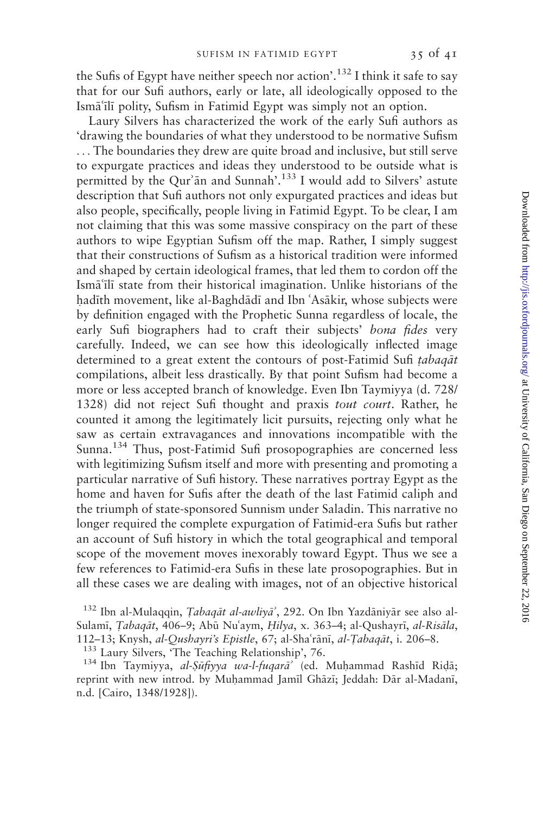the Sufis of Egypt have neither speech nor action'.132 I think it safe to say that for our Sufi authors, early or late, all ideologically opposed to the Isma'ili polity, Sufism in Fatimid Egypt was simply not an option.

Laury Silvers has characterized the work of the early Sufi authors as 'drawing the boundaries of what they understood to be normative Sufism ... The boundaries they drew are quite broad and inclusive, but still serve to expurgate practices and ideas they understood to be outside what is permitted by the Qur'an and Sunnah'.<sup>133</sup> I would add to Silvers' astute description that Sufi authors not only expurgated practices and ideas but also people, specifically, people living in Fatimid Egypt. To be clear, I am not claiming that this was some massive conspiracy on the part of these authors to wipe Egyptian Sufism off the map. Rather, I simply suggest that their constructions of Sufism as a historical tradition were informed and shaped by certain ideological frames, that led them to cordon off the Ismā'ilī state from their historical imagination. Unlike historians of the hadīth movement, like al-Baghdādī and Ibn 'Asākir, whose subjects were by definition engaged with the Prophetic Sunna regardless of locale, the early Sufi biographers had to craft their subjects' bona fides very carefully. Indeed, we can see how this ideologically inflected image determined to a great extent the contours of post-Fatimid Sufi tabaqat compilations, albeit less drastically. By that point Sufism had become a more or less accepted branch of knowledge. Even Ibn Taymiyya (d. 728/ 1328) did not reject Sufi thought and praxis tout court. Rather, he counted it among the legitimately licit pursuits, rejecting only what he saw as certain extravagances and innovations incompatible with the Sunna.<sup>134</sup> Thus, post-Fatimid Sufi prosopographies are concerned less with legitimizing Sufism itself and more with presenting and promoting a particular narrative of Sufi history. These narratives portray Egypt as the home and haven for Sufis after the death of the last Fatimid caliph and the triumph of state-sponsored Sunnism under Saladin. This narrative no longer required the complete expurgation of Fatimid-era Sufis but rather an account of Sufi history in which the total geographical and temporal scope of the movement moves inexorably toward Egypt. Thus we see a few references to Fatimid-era Sufis in these late prosopographies. But in all these cases we are dealing with images, not of an objective historical

 $132$  Ibn al-Mulaqqin, Tabaqāt al-awliyā', 292. On Ibn Yazdāniyār see also al-Sulamī, Tabagāt, 406-9; Abū Nu'aym, Hilya, x. 363-4; al-Qushayrī, al-Risāla,

112–13; Knysh, *al-Qushayri's Epistle*, 67; al-Shaʿrānī, *al-Ṭabaqāt*, i. 206–8.<br><sup>133</sup> Laury Silvers, 'The Teaching Relationship', 76.<br><sup>134</sup> Ibn Taymiyya, *al-Şūfiyya wa-l-fuqarā*' (ed. Muhammad Rashīd Riḍā; reprint with new introd. by Muhammad Jamīl Ghāzī; Jeddah: Dār al-Madanī, n.d. [Cairo, 1348/1928]).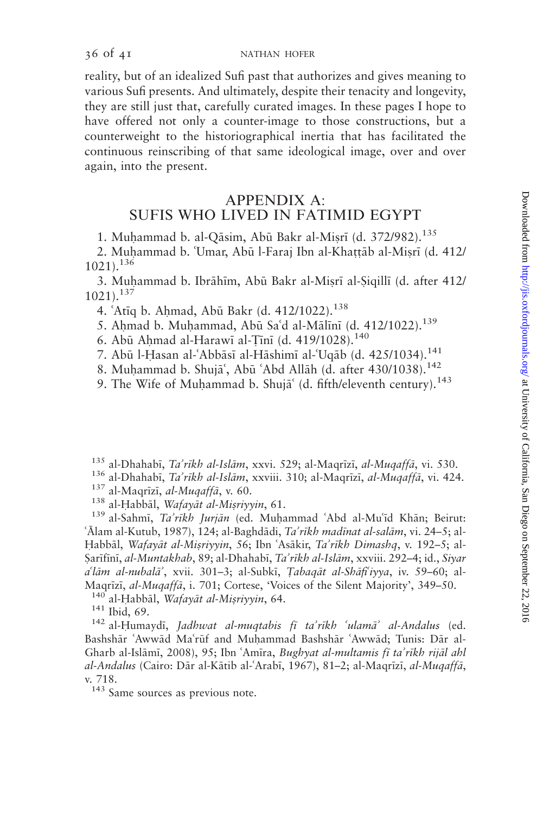reality, but of an idealized Sufi past that authorizes and gives meaning to various Sufi presents. And ultimately, despite their tenacity and longevity, they are still just that, carefully curated images. In these pages I hope to have offered not only a counter-image to those constructions, but a counterweight to the historiographical inertia that has facilitated the continuous reinscribing of that same ideological image, over and over again, into the present.

### APPENDIX A: SUFIS WHO LIVED IN FATIMID EGYPT

1. Muhammad b. al-Qāsim, Abū Bakr al-Misrī (d. 372/982).<sup>135</sup>

2. Muhammad b. 'Umar, Abū l-Faraj Ibn al-Khattāb al-Misrī (d. 412/ 1021).<sup>136</sup>

3. Muhammad b. Ibrāhīm, Abū Bakr al-Misrī al-Sigillī (d. after 412/ 1021).<sup>137</sup>

4. 'Atiq b. Ahmad, Abū Bakr (d. 412/1022).<sup>138</sup>

5. Ahmad b. Muhammad, Abū Sa'd al-Mālīnī (d. 412/1022).<sup>139</sup>

6. Abū Ahmad al-Harawī al-Tīnī (d. 419/1028).<sup>140</sup>

7. Abū l-Hasan al-'Abbāsī al-Hāshimī al-'Uqāb (d. 425/1034).<sup>141</sup>

8. Muhammad b. Shuja', Abū 'Abd Allāh (d. after 430/1038).<sup>142</sup>

9. The Wife of Muhammad b. Shuja (d. fifth/eleventh century).<sup>143</sup>

<sup>135</sup> al-Dhahabī, *Ta'rīkh al-Islām*, xxvi. 529; al-Maqrīzī, *al-Muqaffā*, vi. 530.<br><sup>136</sup> al-Dhahabī, *Ta'rīkh al-Islām*, xxviii. 310; al-Maqrīzī, *al-Muqaffā*, vi. 424.<br><sup>137</sup> al-Maqrīzī, *al-Muqaffā*, v. 60.<br><sup>138</sup> al-Hab

'Ālam al-Kutub, 1987), 124; al-Baghdādi, Ta'rīkh madīnat al-salām, vi. 24–5; al-Habbāl, Wafayāt al-Misriyyin, 56; Ibn 'Asākir, Ta'rīkh Dimashq, v. 192–5; al-Sarīfīnī, al-Muntakhab, 89; al-Dhahabī, Ta'rīkh al-Islām, xxviii. 292-4; id., Siyar  $a^{\dagger}$ lām al-nubalā', xvii. 301–3; al-Subkī, Tabagāt al-Shāfi'iyya, iv. 59–60; al-Maqrīzī, *al-Muqaffā*, i. 701; Cortese, 'Voices of the Silent Majority', 349–50.<br><sup>140</sup> al-Habbāl, Wafayāt al-Misriyyin, 64.<br><sup>141</sup> Ibid, 69. <sup>142</sup> al-Humaydī, *Jadhwat al-muqtabis fī ta'rīkh 'ulamā' al-Andalus* (ed.

Bashshār 'Awwād Ma'rūf and Muhammad Bashshār 'Awwād; Tunis: Dār al-Gharb al-Islāmī, 2008), 95; Ibn 'Amīra, Bughyat al-multamis fī ta'rīkh rijāl ahl al-Andalus (Cairo: Dār al-Kātib al-ʿArabī, 1967), 81–2; al-Maqrīzī, al-Muqaffā, v. 718.

<sup>143</sup> Same sources as previous note.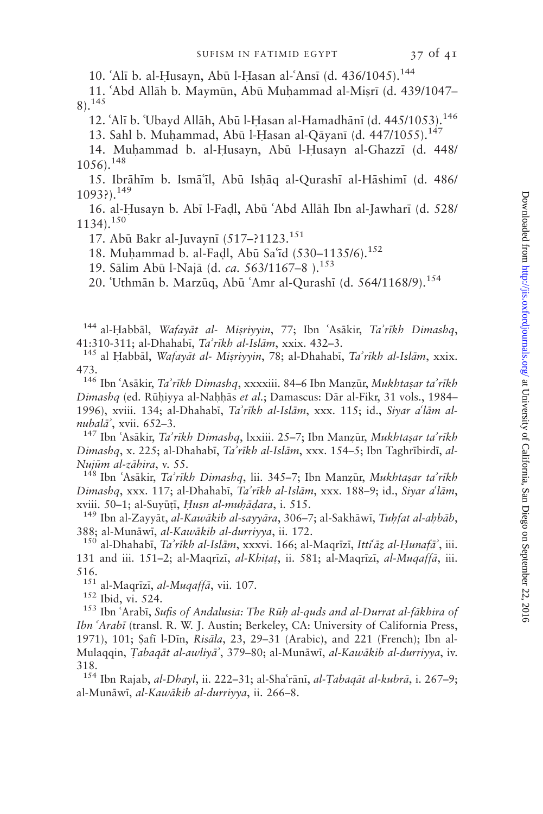10. 'Alī b. al-Ḥusayn, Abū l-Hasan al-'Ansī (d. 436/1045).<sup>144</sup>

11. 'Abd Allāh b. Maymūn, Abū Muhammad al-Misrī (d. 439/1047– 8).<sup>145</sup>

12. 'Alī b. 'Ubayd Allāh, Abū l-Hasan al-Hamadhānī (d. 445/1053).<sup>146</sup>

13. Sahl b. Muhammad, Abū l-Hasan al-Oāvanī (d. 447/1055).<sup>147</sup>

14. Muhammad b. al-Husayn, Abū l-Husayn al-Ghazzī (d. 448/  $1056$ ).<sup>148</sup>

15. Ibrāhīm b. Ismāʿīl, Abū Isḥāq al-Qurashī al-Hāshimī (d. 486/ 1093?).<sup>149</sup>

16. al-Husayn b. Abī l-Fadl, Abū 'Abd Allāh Ibn al-Jawharī (d. 528/  $1134$ ).<sup>150</sup>

17. Abū Bakr al-Juvaynī (517-?1123.<sup>151</sup>

18. Muhammad b. al-Fadl, Abū Sa'īd (530-1135/6).<sup>152</sup>

19. Sālim Abū l-Najā (d. ca. 563/1167-8).<sup>153</sup>

20. Uthmān b. Marzūq, Abū 'Amr al-Qurashī (d. 564/1168/9).<sup>154</sup>

<sup>144</sup> al-Habbāl, Wafayāt al- Mișriyyin, 77; Ibn 'Asākir, Ta'rīkh Dimashq, 41:310-311; al-Dhahabī, Ta'rīkh al-Islām, xxix. 432-3.

<sup>145</sup> al Habbāl, Wafayāt al- Misriyyin, 78; al-Dhahabī, Ta'rīkh al-Islām, xxix. 473.

<sup>146</sup> Ibn 'Asākir, Ta'rīkh Dimashq, xxxxiii. 84–6 Ibn Manzūr, Mukhtasar ta'rīkh Dimashq (ed. Rūhiyya al-Nahhās et al.; Damascus: Dār al-Fikr, 31 vols., 1984– 1996), xviii. 134; al-Dhahabī, Ta'rīkh al-Islām, xxx. 115; id., Siyar a'lām alnubalā', xvii. 652–3.<br>147 Ibn ʿAsākir, *Ta'rīkh Dimashq*, lxxiii. 25–7; Ibn Manzūr, *Mukhtasar ta'rīkh* 

Dimashq, x. 225; al-Dhahabī, Ta'rīkh al-Islām, xxx. 154–5; Ibn Taghrībirdī, al-Nujūm al-zāhira, v. 55.<br><sup>148</sup> Ibn ʿAsākir, *Taʾrīkh Dimashq*, lii. 345–7; Ibn Manzūr, *Mukhtaṣar taʾrīkh* 

Dimashq, xxx. 117; al-Dhahabī, Ta'rīkh al-Islām, xxx. 188–9; id., Siyar a'lām, xviii. 50–1; al-Suyūțī, *Husn al-muḥāḍara*, i. 515.<br><sup>149</sup> Ibn al-Zayyāt, *al-Kawākib al-sayyāra*, 306–7; al-Sakhāwī, *Tuhfat al-aḥbāb*,

388; al-Munāwī, *al-Kawākib al-durriyya*, ii. 172.<br><sup>150</sup> al-Dhahabī, *Ta'rīkh al-Islām*, xxxvi. 166; al-Maqrīzī, Itti<sup>c</sup>āz al-Hunafā<sup>'</sup>, iii.

131 and iii. 151–2; al-Maqrīzī, al-Khitat, ii. 581; al-Maqrīzī, al-Muqaffā, iii. 516.<br> $151$  al-Magrīzī, *al-Mugaffā*, vii. 107.

<sup>152</sup> Ibid, vi. 524.<br><sup>153</sup> Ibn ʿArabī, *Sufis of Andalusia: The Rūh al-quds and al-Durrat al-fākhira of* Ibn 'Arabī (transl. R. W. J. Austin; Berkeley, CA: University of California Press, 1971), 101; Safī l-Dīn, Risāla, 23, 29-31 (Arabic), and 221 (French); Ibn al-Mulaqqin, Tabaqāt al-awliyā', 379–80; al-Munāwī, al-Kawākib al-durriyya, iv. 318.

<sup>154</sup> Ibn Rajab, al-Dhayl, ii. 222-31; al-Sha'rānī, al-Țabaqāt al-kubrā, i. 267-9; al-Munāwī, al-Kawākib al-durriyya, ii. 266-8.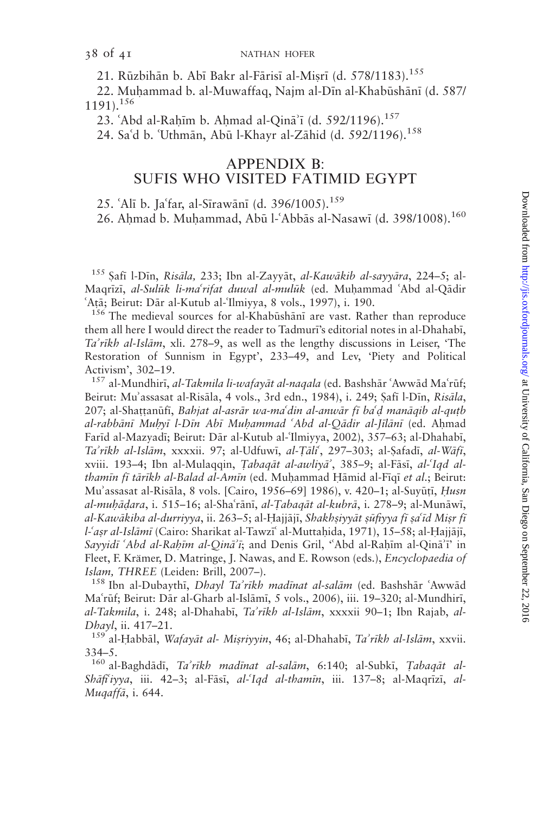21. Rūzbihān b. Abī Bakr al-Fārisī al-Misrī (d. 578/1183).<sup>155</sup>

22. Muhammad b. al-Muwaffaq, Najm al-Dīn al-Khabūshānī (d. 587/  $1191$ <sup>156</sup>

23. 'Abd al-Rahim b. Ahmad al-Qin $\bar{a}$ 'i (d. 592/1196).<sup>157</sup>

24. Sa'd b. 'Uthmān, Abū l-Khayr al-Zāhid (d. 592/1196).<sup>158</sup>

### APPENDIX B: SUFIS WHO VISITED FATIMID EGYPT

25. 'Alī b. Ja'far, al-Sīrawānī (d. 396/1005).<sup>159</sup>

26. Ahmad b. Muhammad, Abū l-'Abbās al-Nasawī (d. 398/1008).<sup>160</sup>

<sup>155</sup> Safī l-Dīn, Risāla, 233; Ibn al-Zayyāt, al-Kawākib al-sayyāra, 224-5; al-Maqrīzī, *al-Sulūk li-ma<sup>c</sup>rifat duwal al-mulūk* (ed. Muḥammad ʿAbd al-Qādir ʿAtā; Beirut: Dār al-Kutub al-ʿIlmiyya, 8 vols., 1997), i. 190.

<sup>156</sup> The medieval sources for al-Khabūshānī are vast. Rather than reproduce them all here I would direct the reader to Tadmuri's editorial notes in al-Dhahabi, Ta'rīkh al-Islām, xli. 278–9, as well as the lengthy discussions in Leiser, 'The Restoration of Sunnism in Egypt', 233–49, and Lev, 'Piety and Political Activism', 302–19.

<sup>157</sup> al-Mundhirī, *al-Takmila li-wafayāt al-naqala* (ed. Bashshār 'Awwād Ma'rūf; Beirut: Mu'assasat al-Risāla, 4 vols., 3rd edn., 1984), i. 249; Șafī l-Dīn, Risāla, 207; al-Shattanūfī, Bahjat al-asrār wa-maʿdin al-anwār fī baʿd manāqib al-quṭb al-rabbānī Muhyī l-Dīn Abī Muhammad 'Abd al-Qādir al-Jīlānī (ed. Ahmad Farīd al-Mazyadī; Beirut: Dār al-Kutub al-'Ilmiyya, 2002), 357–63; al-Dhahabī, Ta'rīkh al-Islām, xxxxii. 97; al-Udfuwī, al-Țāli, 297-303; al-Șafadī, al-Wāfī, xviii. 193–4; Ibn al-Mulaqqin, Tabaqāt al-awliyā<sup>2</sup>, 385–9; al-Fāsī, al-'Iqd althamin fi tārīkh al-Balad al-Amin (ed. Muhammad Hāmid al-Fiqī et al.; Beirut: Mu'assasat al-Risāla, 8 vols. [Cairo, 1956–69] 1986), v. 420–1; al-Suyūtī, Husn al-muhādara, i. 515–16; al-Shaʿrānī, al-Tabaqāt al-kubrā, i. 278–9; al-Munāwī, al-Kawākiba al-durriyya, ii. 263–5; al-Hajjājī, Shakhṣiyyāt ṣūfiyya fī ṣaʿīd Miṣr fī l-'asr al-Islāmī (Cairo: Sharikat al-Tawzī al-Muttaḥida, 1971), 15–58; al-Ḥajjājī, Sayyidī 'Abd al-Rahīm al-Qinā'ī; and Denis Gril, ''Abd al-Rahīm al-Qinā'ī' in Fleet, F. Krämer, D. Matringe, J. Nawas, and E. Rowson (eds.), *Encyclopaedia of* Islam, THREE (Leiden: Brill, 2007–).<br>158 Ibn al-Dubaythī, *Dhayl Ta'rīkh madīnat al-salām (ed. Bashshār 'Awwād*)

Ma'rūf; Beirut: Dār al-Gharb al-Islāmī, 5 vols., 2006), iii. 19–320; al-Mundhirī, al-Takmila, i. 248; al-Dhahabī, Ta'rīkh al-Islām, xxxxii 90-1; Ibn Rajab, al-Dhayl, ii. 417–21.<br>159 al-Habbāl, *Wafayāt al- Mişriyyin*, 46; al-Dhahabī, *Ta'rīkh al-Islām*, xxvii.

334–5.

<sup>160</sup> al-Baghdādī, Ta'rīkh madīnat al-salām, 6:140; al-Subkī, Tabaqāt al-Shāfi'iyya, iii. 42–3; al-Fāsī, al-'Iqd al-thamīn, iii. 137–8; al-Maqrīzī, al-Muqaffā, i. 644.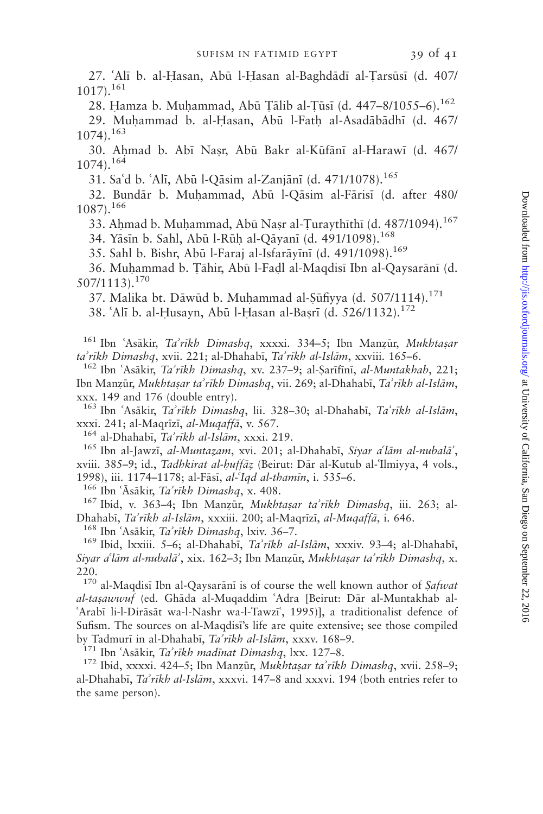28. Hamza b. Muhammad, Abū Țālib al-Țūsī (d. 447–8/1055–6).<sup>162</sup> 29. Muhammad b. al-Hasan, Abū l-Fath al-Asadābādhī (d. 467/

 $1074$ ).<sup>163</sup>

30. Ahmad b. Abī Nasr, Abū Bakr al-Kūfānī al-Harawī (d. 467/  $1074$ ).<sup>164</sup>

31. Sa'd b. 'Alī, Abū l-Qāsim al-Zanjānī (d. 471/1078).<sup>165</sup>

32. Bundār b. Muhammad, Abū l-Qāsim al-Fārisī (d. after 480/ 1087).<sup>166</sup>

33. Ahmad b. Muhammad, Abū Nașr al-Țuraythīthī (d. 487/1094).<sup>167</sup>

34. Yāsīn b. Sahl, Abū l-Rūḥ al-Qāyanī (d. 491/1098).<sup>168</sup>

35. Sahl b. Bishr, Abū l-Faraj al-Isfarāvīnī (d. 491/1098).<sup>169</sup>

36. Muhammad b. Tāhir, Abū l-Fadl al-Maqdisī Ibn al-Qaysarānī (d. 507/1113).<sup>170</sup>

37. Malika bt. Dāwūd b. Muhammad al-Şūfiyya (d. 507/1114).<sup>171</sup>

38. 'Alī b. al-Husayn, Abū l-Hasan al-Basrī (d. 526/1132).<sup>172</sup>

<sup>161</sup> Ibn 'Asākir, Ta'rīkh Dimashq, xxxxi. 334-5; Ibn Manzūr, Mukhtașar ta'rīkh Dimashq, xvii. 221; al-Dhahabī, Ta'rīkh al-Islām, xxviii. 165–6.<br><sup>162</sup> Ibn ʿAsākir, Ta'rīkh Dimashq, xv. 237–9; al-Şarīfīnī, al-Muntakhab, 221;

Ibn Manzūr, Mukhtasar ta'rīkh Dimashq, vii. 269; al-Dhahabī, Ta'rīkh al-Islām, xxx. 149 and 176 (double entry).

<sup>163</sup> Ibn 'Asākir, Ta'rīkh Dimashq, lii. 328–30; al-Dhahabī, Ta'rīkh al-Islām,

xxxi. 241; al-Maqrīzī, *al-Muqaffā*, v. 567.<br><sup>164</sup> al-Dhahabī, *Ta'rīkh al-Islām*, xxxi. 219.<br><sup>165</sup> Ibn al-Jawzī, *al-Muntazam*, xvi. 201; al-Dhahabī, *Siyar a<sup>r alām al-nubalā*',</sup> xviii. 385-9; id., Tadhkirat al-huffāz (Beirut: Dār al-Kutub al-Ilmiyya, 4 vols.,

1998), iii. 1174–1178; al-Fāsī, *al-ʿIqd al-thamīn*, i. 535–6.<br><sup>166</sup> Ibn ʿĀsākir, *Ta'rīkh Dimashq*, x. 408.<br><sup>167</sup> Ibid, v. 363–4; Ibn Manzūr, *Mukhtaṣar ta'rīkh Dimashq*, iii. 263; al-

Dhahabī, *Ta'rīkh al-Islām*, xxxiii. 200; al-Maqrīzī, *al-Muqaffā*, i. 646.<br><sup>168</sup> Ibn ʿAsākir, *Ta'rīkh Dimashq*, lxiv. 36–7.<br><sup>169</sup> Ibid, lxxiii. 5–6; al-Dhahabī, *Ta'rīkh al-Islām*, xxxiv. 93–4; al-Dhahabī, Siyar a'lām al-nubalā', xix. 162–3; Ibn Manzūr, Mukhtasar ta'rīkh Dimashq, x. 220.

 $170$  al-Maqdisī Ibn al-Qaysarānī is of course the well known author of Safwat al-tasawwuf (ed. Ghāda al-Muqaddim 'Adra [Beirut: Dār al-Muntakhab al-'Arabī li-l-Dirāsāt wa-l-Nashr wa-l-Tawzī', 1995)], a traditionalist defence of Sufism. The sources on al-Maqdisi's life are quite extensive; see those compiled by Tadmurī in al-Dhahabī, *Ta'rīkh al-Islām*, xxxv. 168–9.<br><sup>171</sup> Ibn ʿAsākir, *Ta'rīkh madīnat Dimashq*, lxx. 127–8.<br><sup>172</sup> Ibid, xxxxi. 424–5; Ibn Manzūr, *Mukhtaṣar ta'rīkh Dimashq*, xvii. 258–9;

al-Dhahabī, Ta'rīkh al-Islām, xxxvi. 147–8 and xxxvi. 194 (both entries refer to the same person).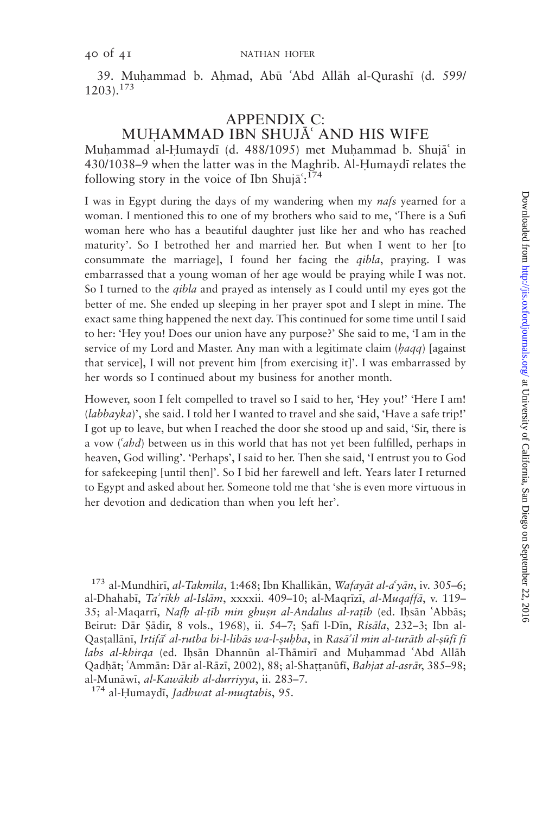39. Muhammad b. Ahmad, Abū 'Abd Allāh al-Qurashī (d. 599/  $1203$ ).<sup>173</sup>

#### APPENDIX C: MUHAMMAD IBN SHUJĀ' AND HIS WIFE

Muhammad al-Humaydī (d. 488/1095) met Muhammad b. Shujā in 430/1038–9 when the latter was in the Maghrib. Al-Humaydī relates the following story in the voice of Ibn Shujā': $^{174}$ 

I was in Egypt during the days of my wandering when my *nafs* yearned for a woman. I mentioned this to one of my brothers who said to me, 'There is a Sufi woman here who has a beautiful daughter just like her and who has reached maturity'. So I betrothed her and married her. But when I went to her [to consummate the marriage], I found her facing the *qibla*, praying. I was embarrassed that a young woman of her age would be praying while I was not. So I turned to the qibla and prayed as intensely as I could until my eyes got the better of me. She ended up sleeping in her prayer spot and I slept in mine. The exact same thing happened the next day. This continued for some time until I said to her: 'Hey you! Does our union have any purpose?' She said to me, 'I am in the service of my Lord and Master. Any man with a legitimate claim ( $haqq$ ) [against that service], I will not prevent him [from exercising it]'. I was embarrassed by her words so I continued about my business for another month.

However, soon I felt compelled to travel so I said to her, 'Hey you!' 'Here I am! (labbayka)', she said. I told her I wanted to travel and she said, 'Have a safe trip!' I got up to leave, but when I reached the door she stood up and said, 'Sir, there is a vow  $(4hd)$  between us in this world that has not yet been fulfilled, perhaps in heaven, God willing'. 'Perhaps', I said to her. Then she said, 'I entrust you to God for safekeeping [until then]'. So I bid her farewell and left. Years later I returned to Egypt and asked about her. Someone told me that 'she is even more virtuous in her devotion and dedication than when you left her'.

<sup>173</sup> al-Mundhirī, *al-Takmila*, 1:468; Ibn Khallikān, *Wafayāt al-a<sup>s</sup>yān*, iv. 305–6; al-Dhahabī, Ta'rīkh al-Islām, xxxxii. 409–10; al-Maqrīzī, al-Muqaffā, v. 119– 35; al-Maqarrī, Nafh al-țīb min ghușn al-Andalus al-rațīb (ed. Ihsān 'Abbās; Beirut: Dār Sādir, 8 vols., 1968), ii. 54–7; Safī l-Dīn, Risāla, 232–3; Ibn al-Qastallānī, Irtifā<sup>c</sup> al-rutba bi-l-libās wa-l-suhba, in Rasā'il min al-turāth al-sūfī fī labs al-khirqa (ed. Ihsān Dhannūn al-Thāmirī and Muhammad 'Abd Allāh Qadhāt; 'Ammān: Dār al-Rāzī, 2002), 88; al-Shaṭṭanūfī, Bahjat al-asrār, 385–98; al-Munāwī, *al-Kawākib al-durriyya*, ii. 283–7.<br><sup>174</sup> al-Humaydī, *Jadhwat al-muqtabis*, 95.